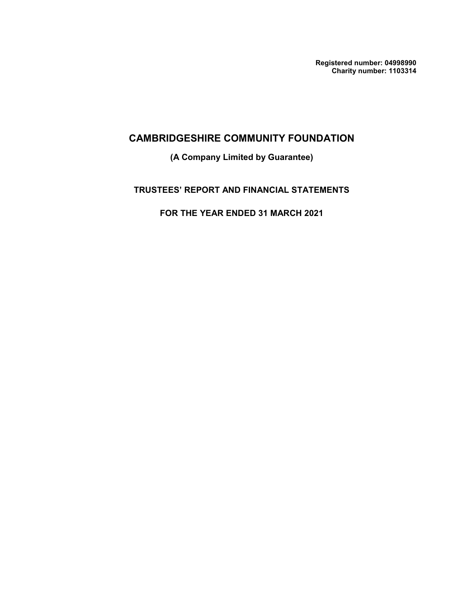**Registered number: 04998990 Charity number: 1103314** 

## **CAMBRIDGESHIRE COMMUNITY FOUNDATION**

## **(A Company Limited by Guarantee)**

## **TRUSTEES' REPORT AND FINANCIAL STATEMENTS**

## **FOR THE YEAR ENDED 31 MARCH 2021**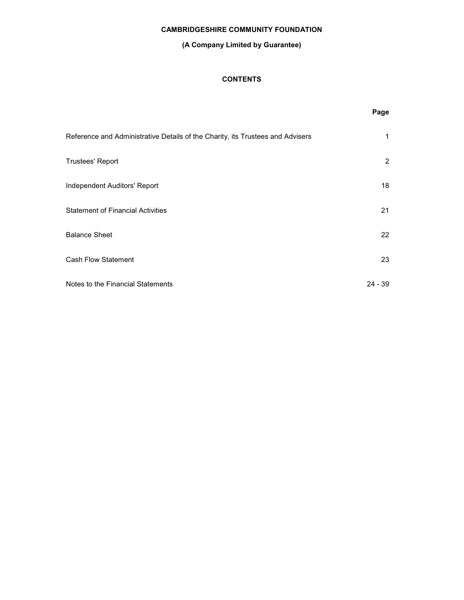### **(A Company Limited by Guarantee)**

### **CONTENTS**

# **Page**

| Reference and Administrative Details of the Charity, its Trustees and Advisers | 1              |
|--------------------------------------------------------------------------------|----------------|
| <b>Trustees' Report</b>                                                        | $\overline{2}$ |
| <b>Independent Auditors' Report</b>                                            | 18             |
| <b>Statement of Financial Activities</b>                                       | 21             |
| <b>Balance Sheet</b>                                                           | 22             |
| <b>Cash Flow Statement</b>                                                     | 23             |
| Notes to the Financial Statements                                              | 24 - 39        |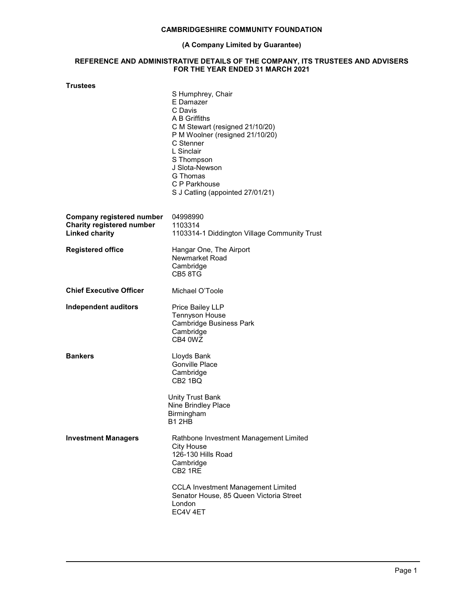### **(A Company Limited by Guarantee)**

### **REFERENCE AND ADMINISTRATIVE DETAILS OF THE COMPANY, ITS TRUSTEES AND ADVISERS FOR THE YEAR ENDED 31 MARCH 2021**

### **Trustees**

|                                                                                        | S Humphrey, Chair<br>E Damazer<br>C Davis<br>A B Griffiths<br>C M Stewart (resigned 21/10/20)<br>P M Woolner (resigned 21/10/20)<br>C Stenner<br>L Sinclair<br>S Thompson<br>J Slota-Newson<br>G Thomas<br>C P Parkhouse<br>S J Catling (appointed 27/01/21) |
|----------------------------------------------------------------------------------------|--------------------------------------------------------------------------------------------------------------------------------------------------------------------------------------------------------------------------------------------------------------|
| Company registered number<br><b>Charity registered number</b><br><b>Linked charity</b> | 04998990<br>1103314<br>1103314-1 Diddington Village Community Trust                                                                                                                                                                                          |
| <b>Registered office</b>                                                               | Hangar One, The Airport<br>Newmarket Road<br>Cambridge<br>CB5 8TG                                                                                                                                                                                            |
| <b>Chief Executive Officer</b>                                                         | Michael O'Toole                                                                                                                                                                                                                                              |
| Independent auditors                                                                   | Price Bailey LLP<br><b>Tennyson House</b><br><b>Cambridge Business Park</b><br>Cambridge<br>CB4 0WZ                                                                                                                                                          |
| <b>Bankers</b>                                                                         | Lloyds Bank<br><b>Gonville Place</b><br>Cambridge<br>CB <sub>2</sub> 1BQ                                                                                                                                                                                     |
|                                                                                        | Unity Trust Bank<br>Nine Brindley Place<br>Birmingham<br><b>B1 2HB</b>                                                                                                                                                                                       |
| <b>Investment Managers</b>                                                             | Rathbone Investment Management Limited<br><b>City House</b><br>126-130 Hills Road<br>Cambridge<br>CB <sub>2</sub> 1RE                                                                                                                                        |
|                                                                                        | <b>CCLA Investment Management Limited</b><br>Senator House, 85 Queen Victoria Street<br>London<br>EC4V 4ET                                                                                                                                                   |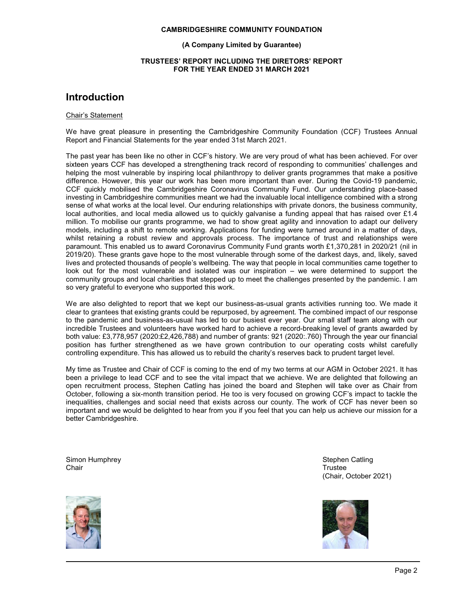### **(A Company Limited by Guarantee)**

### **TRUSTEES' REPORT INCLUDING THE DIRETORS' REPORT FOR THE YEAR ENDED 31 MARCH 2021**

## **Introduction**

### Chair's Statement

We have great pleasure in presenting the Cambridgeshire Community Foundation (CCF) Trustees Annual Report and Financial Statements for the year ended 31st March 2021.

The past year has been like no other in CCF's history. We are very proud of what has been achieved. For over sixteen years CCF has developed a strengthening track record of responding to communities' challenges and helping the most vulnerable by inspiring local philanthropy to deliver grants programmes that make a positive difference. However, this year our work has been more important than ever. During the Covid-19 pandemic, CCF quickly mobilised the Cambridgeshire Coronavirus Community Fund. Our understanding place-based investing in Cambridgeshire communities meant we had the invaluable local intelligence combined with a strong sense of what works at the local level. Our enduring relationships with private donors, the business community, local authorities, and local media allowed us to quickly galvanise a funding appeal that has raised over £1.4 million. To mobilise our grants programme, we had to show great agility and innovation to adapt our delivery models, including a shift to remote working. Applications for funding were turned around in a matter of days, whilst retaining a robust review and approvals process. The importance of trust and relationships were paramount. This enabled us to award Coronavirus Community Fund grants worth £1,370,281 in 2020/21 (nil in 2019/20). These grants gave hope to the most vulnerable through some of the darkest days, and, likely, saved lives and protected thousands of people's wellbeing. The way that people in local communities came together to look out for the most vulnerable and isolated was our inspiration – we were determined to support the community groups and local charities that stepped up to meet the challenges presented by the pandemic. I am so very grateful to everyone who supported this work.

We are also delighted to report that we kept our business-as-usual grants activities running too. We made it clear to grantees that existing grants could be repurposed, by agreement. The combined impact of our response to the pandemic and business-as-usual has led to our busiest ever year. Our small staff team along with our incredible Trustees and volunteers have worked hard to achieve a record-breaking level of grants awarded by both value: £3,778,957 (2020:£2,426,788) and number of grants: 921 (2020:.760) Through the year our financial position has further strengthened as we have grown contribution to our operating costs whilst carefully controlling expenditure. This has allowed us to rebuild the charity's reserves back to prudent target level.

My time as Trustee and Chair of CCF is coming to the end of my two terms at our AGM in October 2021. It has been a privilege to lead CCF and to see the vital impact that we achieve. We are delighted that following an open recruitment process, Stephen Catling has joined the board and Stephen will take over as Chair from October, following a six-month transition period. He too is very focused on growing CCF's impact to tackle the inequalities, challenges and social need that exists across our county. The work of CCF has never been so important and we would be delighted to hear from you if you feel that you can help us achieve our mission for a better Cambridgeshire.

Simon Humphrey **Stephen Catling** Chair Trustee



(Chair, October 2021)

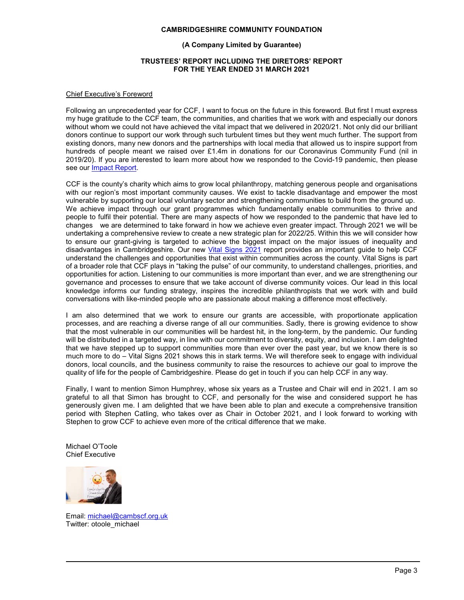### **(A Company Limited by Guarantee)**

### **TRUSTEES' REPORT INCLUDING THE DIRETORS' REPORT FOR THE YEAR ENDED 31 MARCH 2021**

### Chief Executive's Foreword

Following an unprecedented year for CCF, I want to focus on the future in this foreword. But first I must express my huge gratitude to the CCF team, the communities, and charities that we work with and especially our donors without whom we could not have achieved the vital impact that we delivered in 2020/21. Not only did our brilliant donors continue to support our work through such turbulent times but they went much further. The support from existing donors, many new donors and the partnerships with local media that allowed us to inspire support from hundreds of people meant we raised over £1.4m in donations for our Coronavirus Community Fund (nil in 2019/20). If you are interested to learn more about how we responded to the Covid-19 pandemic, then please see our Impact Report.

CCF is the county's charity which aims to grow local philanthropy, matching generous people and organisations with our region's most important community causes. We exist to tackle disadvantage and empower the most vulnerable by supporting our local voluntary sector and strengthening communities to build from the ground up. We achieve impact through our grant programmes which fundamentally enable communities to thrive and people to fulfil their potential. There are many aspects of how we responded to the pandemic that have led to changes we are determined to take forward in how we achieve even greater impact. Through 2021 we will be undertaking a comprehensive review to create a new strategic plan for 2022/25. Within this we will consider how to ensure our grant-giving is targeted to achieve the biggest impact on the major issues of inequality and disadvantages in Cambridgeshire. Our new Vital Signs 2021 report provides an important guide to help CCF understand the challenges and opportunities that exist within communities across the county. Vital Signs is part of a broader role that CCF plays in "taking the pulse" of our community, to understand challenges, priorities, and opportunities for action. Listening to our communities is more important than ever, and we are strengthening our governance and processes to ensure that we take account of diverse community voices. Our lead in this local knowledge informs our funding strategy, inspires the incredible philanthropists that we work with and build conversations with like-minded people who are passionate about making a difference most effectively.

I am also determined that we work to ensure our grants are accessible, with proportionate application processes, and are reaching a diverse range of all our communities. Sadly, there is growing evidence to show that the most vulnerable in our communities will be hardest hit, in the long-term, by the pandemic. Our funding will be distributed in a targeted way, in line with our commitment to diversity, equity, and inclusion. I am delighted that we have stepped up to support communities more than ever over the past year, but we know there is so much more to do – Vital Signs 2021 shows this in stark terms. We will therefore seek to engage with individual donors, local councils, and the business community to raise the resources to achieve our goal to improve the quality of life for the people of Cambridgeshire. Please do get in touch if you can help CCF in any way.

Finally, I want to mention Simon Humphrey, whose six years as a Trustee and Chair will end in 2021. I am so grateful to all that Simon has brought to CCF, and personally for the wise and considered support he has generously given me. I am delighted that we have been able to plan and execute a comprehensive transition period with Stephen Catling, who takes over as Chair in October 2021, and I look forward to working with Stephen to grow CCF to achieve even more of the critical difference that we make.

Michael O'Toole Chief Executive



Email: michael@cambscf.org.uk Twitter: otoole\_michael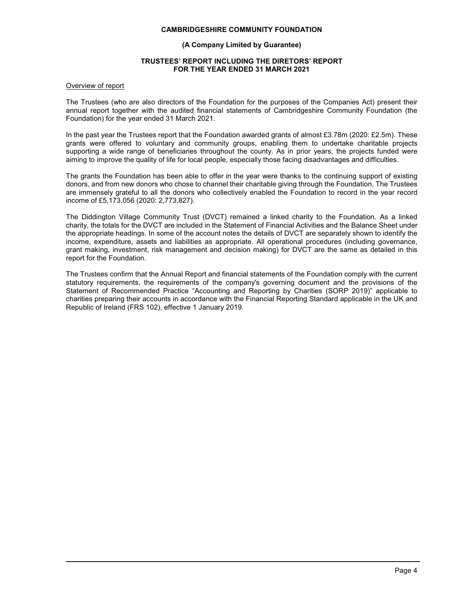### **(A Company Limited by Guarantee)**

### **TRUSTEES' REPORT INCLUDING THE DIRETORS' REPORT FOR THE YEAR ENDED 31 MARCH 2021**

### Overview of report

The Trustees (who are also directors of the Foundation for the purposes of the Companies Act) present their annual report together with the audited financial statements of Cambridgeshire Community Foundation (the Foundation) for the year ended 31 March 2021.

In the past year the Trustees report that the Foundation awarded grants of almost £3.78m (2020: £2.5m). These grants were offered to voluntary and community groups, enabling them to undertake charitable projects supporting a wide range of beneficiaries throughout the county. As in prior years, the projects funded were aiming to improve the quality of life for local people, especially those facing disadvantages and difficulties.

The grants the Foundation has been able to offer in the year were thanks to the continuing support of existing donors, and from new donors who chose to channel their charitable giving through the Foundation. The Trustees are immensely grateful to all the donors who collectively enabled the Foundation to record in the year record income of £5,173,056 (2020: 2,773,827).

The Diddington Village Community Trust (DVCT) remained a linked charity to the Foundation. As a linked charity, the totals for the DVCT are included in the Statement of Financial Activities and the Balance Sheet under the appropriate headings. In some of the account notes the details of DVCT are separately shown to identify the income, expenditure, assets and liabilities as appropriate. All operational procedures (including governance, grant making, investment, risk management and decision making) for DVCT are the same as detailed in this report for the Foundation.

The Trustees confirm that the Annual Report and financial statements of the Foundation comply with the current statutory requirements, the requirements of the company's governing document and the provisions of the Statement of Recommended Practice "Accounting and Reporting by Charities (SORP 2019)" applicable to charities preparing their accounts in accordance with the Financial Reporting Standard applicable in the UK and Republic of Ireland (FRS 102), effective 1 January 2019.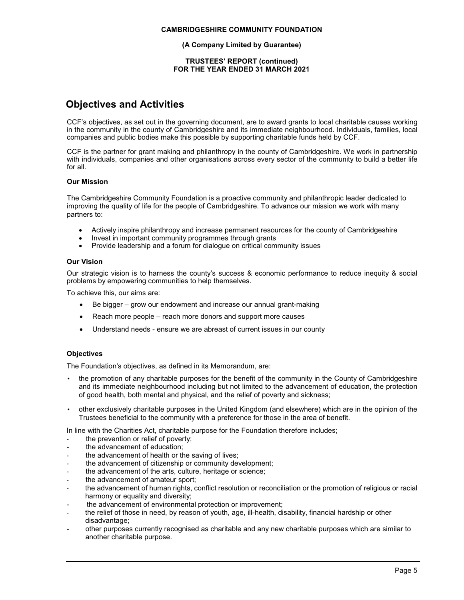### **(A Company Limited by Guarantee)**

### **TRUSTEES' REPORT (continued) FOR THE YEAR ENDED 31 MARCH 2021**

## **Objectives and Activities**

CCF's objectives, as set out in the governing document, are to award grants to local charitable causes working in the community in the county of Cambridgeshire and its immediate neighbourhood. Individuals, families, local companies and public bodies make this possible by supporting charitable funds held by CCF.

CCF is the partner for grant making and philanthropy in the county of Cambridgeshire. We work in partnership with individuals, companies and other organisations across every sector of the community to build a better life for all.

### **Our Mission**

The Cambridgeshire Community Foundation is a proactive community and philanthropic leader dedicated to improving the quality of life for the people of Cambridgeshire. To advance our mission we work with many partners to:

- Actively inspire philanthropy and increase permanent resources for the county of Cambridgeshire
- Invest in important community programmes through grants
- Provide leadership and a forum for dialogue on critical community issues

### **Our Vision**

Our strategic vision is to harness the county's success & economic performance to reduce inequity & social problems by empowering communities to help themselves.

To achieve this, our aims are:

- Be bigger grow our endowment and increase our annual grant-making
- Reach more people reach more donors and support more causes
- Understand needs ensure we are abreast of current issues in our county

### **Objectives**

The Foundation's objectives, as defined in its Memorandum, are:

- the promotion of any charitable purposes for the benefit of the community in the County of Cambridgeshire and its immediate neighbourhood including but not limited to the advancement of education, the protection of good health, both mental and physical, and the relief of poverty and sickness;
- other exclusively charitable purposes in the United Kingdom (and elsewhere) which are in the opinion of the Trustees beneficial to the community with a preference for those in the area of benefit.

In line with the Charities Act, charitable purpose for the Foundation therefore includes;

- the prevention or relief of poverty;
- the advancement of education:
- the advancement of health or the saving of lives;
- the advancement of citizenship or community development;
- the advancement of the arts, culture, heritage or science;
- the advancement of amateur sport;
- the advancement of human rights, conflict resolution or reconciliation or the promotion of religious or racial harmony or equality and diversity;
- the advancement of environmental protection or improvement;
- the relief of those in need, by reason of youth, age, ill-health, disability, financial hardship or other disadvantage:
- other purposes currently recognised as charitable and any new charitable purposes which are similar to another charitable purpose.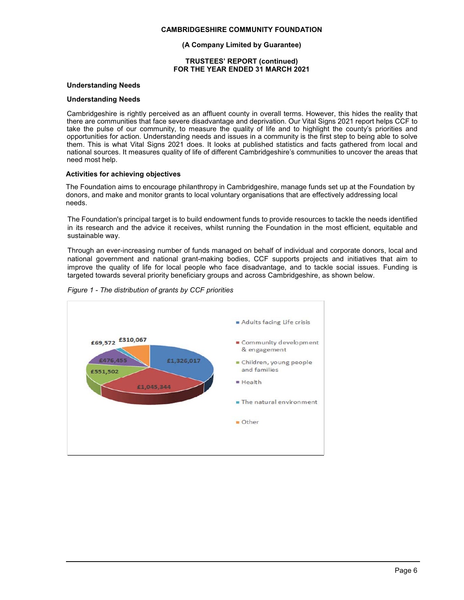### **(A Company Limited by Guarantee)**

### **TRUSTEES' REPORT (continued) FOR THE YEAR ENDED 31 MARCH 2021**

#### **Understanding Needs**

#### **Understanding Needs**

Cambridgeshire is rightly perceived as an affluent county in overall terms. However, this hides the reality that there are communities that face severe disadvantage and deprivation. Our Vital Signs 2021 report helps CCF to take the pulse of our community, to measure the quality of life and to highlight the county's priorities and opportunities for action. Understanding needs and issues in a community is the first step to being able to solve them. This is what Vital Signs 2021 does. It looks at published statistics and facts gathered from local and national sources. It measures quality of life of different Cambridgeshire's communities to uncover the areas that need most help.

### **Activities for achieving objectives**

The Foundation aims to encourage philanthropy in Cambridgeshire, manage funds set up at the Foundation by donors, and make and monitor grants to local voluntary organisations that are effectively addressing local needs.

The Foundation's principal target is to build endowment funds to provide resources to tackle the needs identified in its research and the advice it receives, whilst running the Foundation in the most efficient, equitable and sustainable way.

Through an ever-increasing number of funds managed on behalf of individual and corporate donors, local and national government and national grant-making bodies, CCF supports projects and initiatives that aim to improve the quality of life for local people who face disadvantage, and to tackle social issues. Funding is targeted towards several priority beneficiary groups and across Cambridgeshire, as shown below.



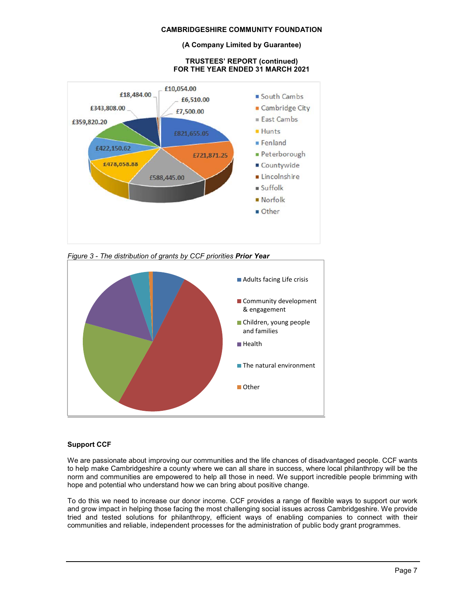**(A Company Limited by Guarantee)** 

### **TRUSTEES' REPORT (continued) FOR THE YEAR ENDED 31 MARCH 2021**



*Figure 3 - The distribution of grants by CCF priorities Prior Year*



### **Support CCF**

We are passionate about improving our communities and the life chances of disadvantaged people. CCF wants to help make Cambridgeshire a county where we can all share in success, where local philanthropy will be the norm and communities are empowered to help all those in need. We support incredible people brimming with hope and potential who understand how we can bring about positive change.

To do this we need to increase our donor income. CCF provides a range of flexible ways to support our work and grow impact in helping those facing the most challenging social issues across Cambridgeshire. We provide tried and tested solutions for philanthropy, efficient ways of enabling companies to connect with their communities and reliable, independent processes for the administration of public body grant programmes.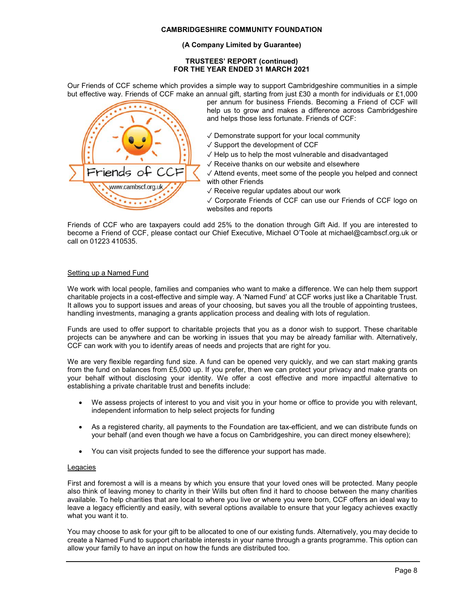### **(A Company Limited by Guarantee)**

### **TRUSTEES' REPORT (continued) FOR THE YEAR ENDED 31 MARCH 2021**

Our Friends of CCF scheme which provides a simple way to support Cambridgeshire communities in a simple but effective way. Friends of CCF make an annual gift, starting from just £30 a month for individuals or £1,000



per annum for business Friends. Becoming a Friend of CCF will help us to grow and makes a difference across Cambridgeshire and helps those less fortunate. Friends of CCF:

- $\sqrt{}$  Demonstrate support for your local community
- $\checkmark$  Support the development of CCF
- $\sqrt{ }$  Help us to help the most vulnerable and disadvantaged
- $\sqrt{\ }$  Receive thanks on our website and elsewhere

 $\sqrt{ }$  Attend events, meet some of the people you helped and connect with other Friends

- $\sqrt{ }$  Receive regular updates about our work
- ض Corporate Friends of CCF can use our Friends of CCF logo on websites and reports

Friends of CCF who are taxpayers could add 25% to the donation through Gift Aid. If you are interested to become a Friend of CCF, please contact our Chief Executive, Michael O'Toole at michael@cambscf.org.uk or call on 01223 410535.

### Setting up a Named Fund

We work with local people, families and companies who want to make a difference. We can help them support charitable projects in a cost-effective and simple way. A 'Named Fund' at CCF works just like a Charitable Trust. It allows you to support issues and areas of your choosing, but saves you all the trouble of appointing trustees, handling investments, managing a grants application process and dealing with lots of regulation.

Funds are used to offer support to charitable projects that you as a donor wish to support. These charitable projects can be anywhere and can be working in issues that you may be already familiar with. Alternatively, CCF can work with you to identify areas of needs and projects that are right for you.

We are very flexible regarding fund size. A fund can be opened very quickly, and we can start making grants from the fund on balances from £5,000 up. If you prefer, then we can protect your privacy and make grants on your behalf without disclosing your identity. We offer a cost effective and more impactful alternative to establishing a private charitable trust and benefits include:

- We assess projects of interest to you and visit you in your home or office to provide you with relevant, independent information to help select projects for funding
- As a registered charity, all payments to the Foundation are tax-efficient, and we can distribute funds on your behalf (and even though we have a focus on Cambridgeshire, you can direct money elsewhere);
- You can visit projects funded to see the difference your support has made.

### Legacies

First and foremost a will is a means by which you ensure that your loved ones will be protected. Many people also think of leaving money to charity in their Wills but often find it hard to choose between the many charities available. To help charities that are local to where you live or where you were born, CCF offers an ideal way to leave a legacy efficiently and easily, with several options available to ensure that your legacy achieves exactly what you want it to.

You may choose to ask for your gift to be allocated to one of our existing funds. Alternatively, you may decide to create a Named Fund to support charitable interests in your name through a grants programme. This option can allow your family to have an input on how the funds are distributed too.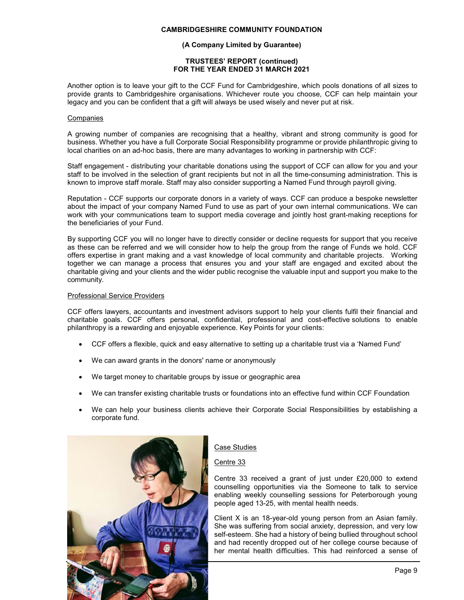### **(A Company Limited by Guarantee)**

### **TRUSTEES' REPORT (continued) FOR THE YEAR ENDED 31 MARCH 2021**

Another option is to leave your gift to the CCF Fund for Cambridgeshire, which pools donations of all sizes to provide grants to Cambridgeshire organisations. Whichever route you choose, CCF can help maintain your legacy and you can be confident that a gift will always be used wisely and never put at risk.

### **Companies**

A growing number of companies are recognising that a healthy, vibrant and strong community is good for business. Whether you have a full Corporate Social Responsibility programme or provide philanthropic giving to local charities on an ad-hoc basis, there are many advantages to working in partnership with CCF:

Staff engagement - distributing your charitable donations using the support of CCF can allow for you and your staff to be involved in the selection of grant recipients but not in all the time-consuming administration. This is known to improve staff morale. Staff may also consider supporting a Named Fund through payroll giving.

Reputation - CCF supports our corporate donors in a variety of ways. CCF can produce a bespoke newsletter about the impact of your company Named Fund to use as part of your own internal communications. We can work with your communications team to support media coverage and jointly host grant-making receptions for the beneficiaries of your Fund.

By supporting CCF you will no longer have to directly consider or decline requests for support that you receive as these can be referred and we will consider how to help the group from the range of Funds we hold. CCF offers expertise in grant making and a vast knowledge of local community and charitable projects. Working together we can manage a process that ensures you and your staff are engaged and excited about the charitable giving and your clients and the wider public recognise the valuable input and support you make to the community.

### Professional Service Providers

CCF offers lawyers, accountants and investment advisors support to help your clients fulfil their financial and charitable goals. CCF offers personal, confidential, professional and cost-effective solutions to enable philanthropy is a rewarding and enjoyable experience. Key Points for your clients:

- CCF offers a flexible, quick and easy alternative to setting up a charitable trust via a 'Named Fund'
- We can award grants in the donors' name or anonymously
- We target money to charitable groups by issue or geographic area
- We can transfer existing charitable trusts or foundations into an effective fund within CCF Foundation
- We can help your business clients achieve their Corporate Social Responsibilities by establishing a corporate fund.



### Case Studies

### Centre 33

Centre 33 received a grant of just under £20,000 to extend counselling opportunities via the Someone to talk to service enabling weekly counselling sessions for Peterborough young people aged 13-25, with mental health needs.

Client X is an 18-year-old young person from an Asian family. She was suffering from social anxiety, depression, and very low self-esteem. She had a history of being bullied throughout school and had recently dropped out of her college course because of her mental health difficulties. This had reinforced a sense of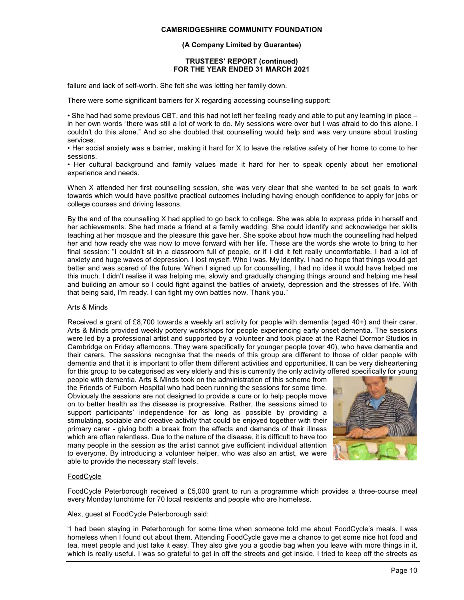### **(A Company Limited by Guarantee)**

### **TRUSTEES' REPORT (continued) FOR THE YEAR ENDED 31 MARCH 2021**

failure and lack of self-worth. She felt she was letting her family down.

There were some significant barriers for X regarding accessing counselling support:

• She had had some previous CBT, and this had not left her feeling ready and able to put any learning in place – in her own words "there was still a lot of work to do. My sessions were over but I was afraid to do this alone. I couldn't do this alone." And so she doubted that counselling would help and was very unsure about trusting services.

• Her social anxiety was a barrier, making it hard for X to leave the relative safety of her home to come to her sessions.

• Her cultural background and family values made it hard for her to speak openly about her emotional experience and needs.

When X attended her first counselling session, she was very clear that she wanted to be set goals to work towards which would have positive practical outcomes including having enough confidence to apply for jobs or college courses and driving lessons.

By the end of the counselling X had applied to go back to college. She was able to express pride in herself and her achievements. She had made a friend at a family wedding. She could identify and acknowledge her skills teaching at her mosque and the pleasure this gave her. She spoke about how much the counselling had helped her and how ready she was now to move forward with her life. These are the words she wrote to bring to her final session: "I couldn't sit in a classroom full of people, or if I did it felt really uncomfortable. I had a lot of anxiety and huge waves of depression. I lost myself. Who I was. My identity. I had no hope that things would get better and was scared of the future. When I signed up for counselling, I had no idea it would have helped me this much. I didn't realise it was helping me, slowly and gradually changing things around and helping me heal and building an amour so I could fight against the battles of anxiety, depression and the stresses of life. With that being said, I'm ready. I can fight my own battles now. Thank you."

### Arts & Minds

Received a grant of £8,700 towards a weekly art activity for people with dementia (aged 40+) and their carer. Arts & Minds provided weekly pottery workshops for people experiencing early onset dementia. The sessions were led by a professional artist and supported by a volunteer and took place at the Rachel Dormor Studios in Cambridge on Friday afternoons. They were specifically for younger people (over 40), who have dementia and their carers. The sessions recognise that the needs of this group are different to those of older people with dementia and that it is important to offer them different activities and opportunities. It can be very disheartening for this group to be categorised as very elderly and this is currently the only activity offered specifically for young

people with dementia. Arts & Minds took on the administration of this scheme from the Friends of Fulborn Hospital who had been running the sessions for some time. Obviously the sessions are not designed to provide a cure or to help people move on to better health as the disease is progressive. Rather, the sessions aimed to support participants' independence for as long as possible by providing a stimulating, sociable and creative activity that could be enjoyed together with their primary carer - giving both a break from the effects and demands of their illness which are often relentless. Due to the nature of the disease, it is difficult to have too many people in the session as the artist cannot give sufficient individual attention to everyone. By introducing a volunteer helper, who was also an artist, we were able to provide the necessary staff levels.



### FoodCycle

FoodCycle Peterborough received a £5,000 grant to run a programme which provides a three-course meal every Monday lunchtime for 70 local residents and people who are homeless.

Alex, guest at FoodCycle Peterborough said:

"I had been staying in Peterborough for some time when someone told me about FoodCycle's meals. I was homeless when I found out about them. Attending FoodCycle gave me a chance to get some nice hot food and tea, meet people and just take it easy. They also give you a goodie bag when you leave with more things in it, which is really useful. I was so grateful to get in off the streets and get inside. I tried to keep off the streets as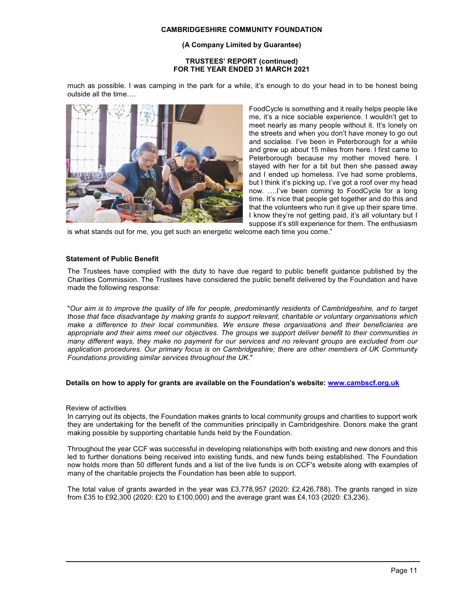### **(A Company Limited by Guarantee)**

### **TRUSTEES' REPORT (continued) FOR THE YEAR ENDED 31 MARCH 2021**

much as possible. I was camping in the park for a while, it's enough to do your head in to be honest being outside all the time….



FoodCycle is something and it really helps people like me, it's a nice sociable experience. I wouldn't get to meet nearly as many people without it. It's lonely on the streets and when you don't have money to go out and socialise. I've been in Peterborough for a while and grew up about 15 miles from here. I first came to Peterborough because my mother moved here. I stayed with her for a bit but then she passed away and I ended up homeless. I've had some problems, but I think it's picking up, I've got a roof over my head now. ….I've been coming to FoodCycle for a long time. It's nice that people get together and do this and that the volunteers who run it give up their spare time. I know they're not getting paid, it's all voluntary but I suppose it's still experience for them. The enthusiasm

is what stands out for me, you get such an energetic welcome each time you come."

### **Statement of Public Benefit**

The Trustees have complied with the duty to have due regard to public benefit guidance published by the Charities Commission. The Trustees have considered the public benefit delivered by the Foundation and have made the following response:

"*Our aim is to improve the quality of life for people, predominantly residents of Cambridgeshire, and to target those that face disadvantage by making grants to support relevant, charitable or voluntary organisations which make a difference to their local communities. We ensure these organisations and their beneficiaries are appropriate and their aims meet our objectives. The groups we support deliver benefit to their communities in many different ways, they make no payment for our services and no relevant groups are excluded from our application procedures. Our primary focus is on Cambridgeshire; there are other members of UK Community Foundations providing similar services throughout the UK*."

### **Details on how to apply for grants are available on the Foundation's website: www.cambscf.org.uk**

### Review of activities

In carrying out its objects, the Foundation makes grants to local community groups and charities to support work they are undertaking for the benefit of the communities principally in Cambridgeshire. Donors make the grant making possible by supporting charitable funds held by the Foundation.

Throughout the year CCF was successful in developing relationships with both existing and new donors and this led to further donations being received into existing funds, and new funds being established. The Foundation now holds more than 50 different funds and a list of the live funds is on CCF's website along with examples of many of the charitable projects the Foundation has been able to support.

The total value of grants awarded in the year was £3,778,957 (2020: £2,426,788). The grants ranged in size from £35 to £92,300 (2020: £20 to £100,000) and the average grant was £4,103 (2020: £3,236).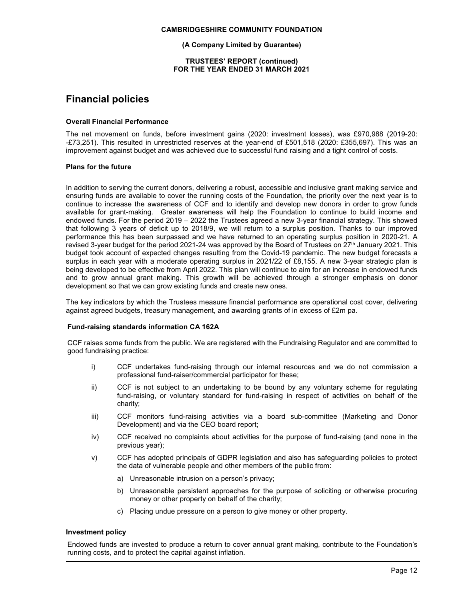#### **(A Company Limited by Guarantee)**

### **TRUSTEES' REPORT (continued) FOR THE YEAR ENDED 31 MARCH 2021**

## **Financial policies**

### **Overall Financial Performance**

The net movement on funds, before investment gains (2020: investment losses), was £970,988 (2019-20: -£73,251). This resulted in unrestricted reserves at the year-end of £501,518 (2020: £355,697). This was an improvement against budget and was achieved due to successful fund raising and a tight control of costs.

### **Plans for the future**

In addition to serving the current donors, delivering a robust, accessible and inclusive grant making service and ensuring funds are available to cover the running costs of the Foundation, the priority over the next year is to continue to increase the awareness of CCF and to identify and develop new donors in order to grow funds available for grant-making. Greater awareness will help the Foundation to continue to build income and endowed funds. For the period 2019 – 2022 the Trustees agreed a new 3-year financial strategy. This showed that following 3 years of deficit up to 2018/9, we will return to a surplus position. Thanks to our improved performance this has been surpassed and we have returned to an operating surplus position in 2020-21. A revised 3-year budget for the period 2021-24 was approved by the Board of Trustees on 27<sup>th</sup> January 2021. This budget took account of expected changes resulting from the Covid-19 pandemic. The new budget forecasts a surplus in each year with a moderate operating surplus in 2021/22 of £8,155. A new 3-year strategic plan is being developed to be effective from April 2022. This plan will continue to aim for an increase in endowed funds and to grow annual grant making. This growth will be achieved through a stronger emphasis on donor development so that we can grow existing funds and create new ones.

The key indicators by which the Trustees measure financial performance are operational cost cover, delivering against agreed budgets, treasury management, and awarding grants of in excess of £2m pa.

### **Fund-raising standards information CA 162A**

CCF raises some funds from the public. We are registered with the Fundraising Regulator and are committed to good fundraising practice:

- i) CCF undertakes fund-raising through our internal resources and we do not commission a professional fund-raiser/commercial participator for these;
- ii) CCF is not subject to an undertaking to be bound by any voluntary scheme for regulating fund-raising, or voluntary standard for fund-raising in respect of activities on behalf of the charity;
- iii) CCF monitors fund-raising activities via a board sub-committee (Marketing and Donor Development) and via the CEO board report;
- iv) CCF received no complaints about activities for the purpose of fund-raising (and none in the previous year);
- v) CCF has adopted principals of GDPR legislation and also has safeguarding policies to protect the data of vulnerable people and other members of the public from:
	- a) Unreasonable intrusion on a person's privacy;
	- b) Unreasonable persistent approaches for the purpose of soliciting or otherwise procuring money or other property on behalf of the charity;
	- c) Placing undue pressure on a person to give money or other property.

### **Investment policy**

Endowed funds are invested to produce a return to cover annual grant making, contribute to the Foundation's running costs, and to protect the capital against inflation.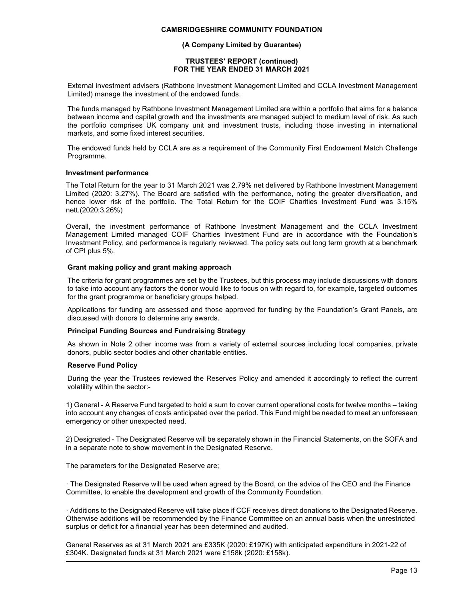### **(A Company Limited by Guarantee)**

### **TRUSTEES' REPORT (continued) FOR THE YEAR ENDED 31 MARCH 2021**

External investment advisers (Rathbone Investment Management Limited and CCLA Investment Management Limited) manage the investment of the endowed funds.

The funds managed by Rathbone Investment Management Limited are within a portfolio that aims for a balance between income and capital growth and the investments are managed subject to medium level of risk. As such the portfolio comprises UK company unit and investment trusts, including those investing in international markets, and some fixed interest securities.

The endowed funds held by CCLA are as a requirement of the Community First Endowment Match Challenge Programme.

#### **Investment performance**

The Total Return for the year to 31 March 2021 was 2.79% net delivered by Rathbone Investment Management Limited (2020: 3.27%). The Board are satisfied with the performance, noting the greater diversification, and hence lower risk of the portfolio. The Total Return for the COIF Charities Investment Fund was 3.15% nett.(2020:3.26%)

Overall, the investment performance of Rathbone Investment Management and the CCLA Investment Management Limited managed COIF Charities Investment Fund are in accordance with the Foundation's Investment Policy, and performance is regularly reviewed. The policy sets out long term growth at a benchmark of CPI plus 5%.

### **Grant making policy and grant making approach**

The criteria for grant programmes are set by the Trustees, but this process may include discussions with donors to take into account any factors the donor would like to focus on with regard to, for example, targeted outcomes for the grant programme or beneficiary groups helped.

Applications for funding are assessed and those approved for funding by the Foundation's Grant Panels, are discussed with donors to determine any awards.

### **Principal Funding Sources and Fundraising Strategy**

As shown in Note 2 other income was from a variety of external sources including local companies, private donors, public sector bodies and other charitable entities.

### **Reserve Fund Policy**

During the year the Trustees reviewed the Reserves Policy and amended it accordingly to reflect the current volatility within the sector:-

1) General - A Reserve Fund targeted to hold a sum to cover current operational costs for twelve months – taking into account any changes of costs anticipated over the period. This Fund might be needed to meet an unforeseen emergency or other unexpected need.

2) Designated - The Designated Reserve will be separately shown in the Financial Statements, on the SOFA and in a separate note to show movement in the Designated Reserve.

The parameters for the Designated Reserve are;

· The Designated Reserve will be used when agreed by the Board, on the advice of the CEO and the Finance Committee, to enable the development and growth of the Community Foundation.

· Additions to the Designated Reserve will take place if CCF receives direct donations to the Designated Reserve. Otherwise additions will be recommended by the Finance Committee on an annual basis when the unrestricted surplus or deficit for a financial year has been determined and audited.

General Reserves as at 31 March 2021 are £335K (2020: £197K) with anticipated expenditure in 2021-22 of £304K. Designated funds at 31 March 2021 were £158k (2020: £158k).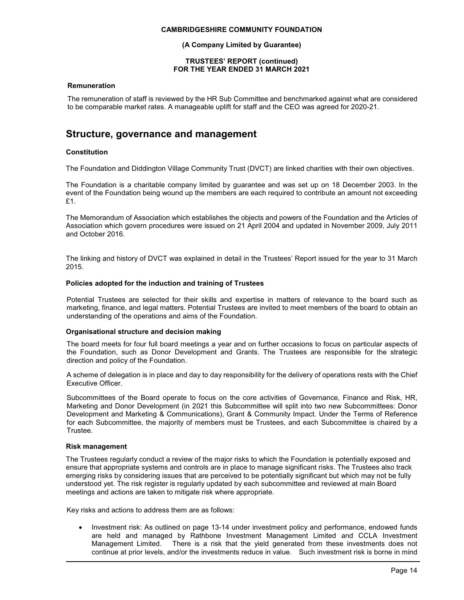### **(A Company Limited by Guarantee)**

### **TRUSTEES' REPORT (continued) FOR THE YEAR ENDED 31 MARCH 2021**

### **Remuneration**

The remuneration of staff is reviewed by the HR Sub Committee and benchmarked against what are considered to be comparable market rates. A manageable uplift for staff and the CEO was agreed for 2020-21.

## **Structure, governance and management**

### **Constitution**

The Foundation and Diddington Village Community Trust (DVCT) are linked charities with their own objectives.

The Foundation is a charitable company limited by guarantee and was set up on 18 December 2003. In the event of the Foundation being wound up the members are each required to contribute an amount not exceeding £1.

The Memorandum of Association which establishes the objects and powers of the Foundation and the Articles of Association which govern procedures were issued on 21 April 2004 and updated in November 2009, July 2011 and October 2016.

The linking and history of DVCT was explained in detail in the Trustees' Report issued for the year to 31 March 2015.

### **Policies adopted for the induction and training of Trustees**

Potential Trustees are selected for their skills and expertise in matters of relevance to the board such as marketing, finance, and legal matters. Potential Trustees are invited to meet members of the board to obtain an understanding of the operations and aims of the Foundation.

### **Organisational structure and decision making**

The board meets for four full board meetings a year and on further occasions to focus on particular aspects of the Foundation, such as Donor Development and Grants. The Trustees are responsible for the strategic direction and policy of the Foundation.

A scheme of delegation is in place and day to day responsibility for the delivery of operations rests with the Chief Executive Officer.

Subcommittees of the Board operate to focus on the core activities of Governance, Finance and Risk, HR, Marketing and Donor Development (in 2021 this Subcommittee will split into two new Subcommittees: Donor Development and Marketing & Communications), Grant & Community Impact. Under the Terms of Reference for each Subcommittee, the majority of members must be Trustees, and each Subcommittee is chaired by a Trustee.

### **Risk management**

The Trustees regularly conduct a review of the major risks to which the Foundation is potentially exposed and ensure that appropriate systems and controls are in place to manage significant risks. The Trustees also track emerging risks by considering issues that are perceived to be potentially significant but which may not be fully understood yet. The risk register is regularly updated by each subcommittee and reviewed at main Board meetings and actions are taken to mitigate risk where appropriate.

Key risks and actions to address them are as follows:

Investment risk: As outlined on page 13-14 under investment policy and performance, endowed funds are held and managed by Rathbone Investment Management Limited and CCLA Investment Management Limited. There is a risk that the yield generated from these investments does not continue at prior levels, and/or the investments reduce in value. Such investment risk is borne in mind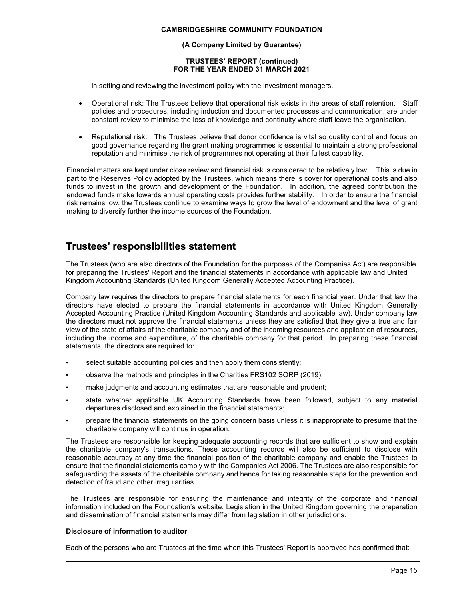### **(A Company Limited by Guarantee)**

### **TRUSTEES' REPORT (continued) FOR THE YEAR ENDED 31 MARCH 2021**

in setting and reviewing the investment policy with the investment managers.

- Operational risk: The Trustees believe that operational risk exists in the areas of staff retention. Staff policies and procedures, including induction and documented processes and communication, are under constant review to minimise the loss of knowledge and continuity where staff leave the organisation.
- Reputational risk: The Trustees believe that donor confidence is vital so quality control and focus on good governance regarding the grant making programmes is essential to maintain a strong professional reputation and minimise the risk of programmes not operating at their fullest capability.

Financial matters are kept under close review and financial risk is considered to be relatively low. This is due in part to the Reserves Policy adopted by the Trustees, which means there is cover for operational costs and also funds to invest in the growth and development of the Foundation. In addition, the agreed contribution the endowed funds make towards annual operating costs provides further stability. In order to ensure the financial risk remains low, the Trustees continue to examine ways to grow the level of endowment and the level of grant making to diversify further the income sources of the Foundation.

## **Trustees' responsibilities statement**

The Trustees (who are also directors of the Foundation for the purposes of the Companies Act) are responsible for preparing the Trustees' Report and the financial statements in accordance with applicable law and United Kingdom Accounting Standards (United Kingdom Generally Accepted Accounting Practice).

Company law requires the directors to prepare financial statements for each financial year. Under that law the directors have elected to prepare the financial statements in accordance with United Kingdom Generally Accepted Accounting Practice (United Kingdom Accounting Standards and applicable law). Under company law the directors must not approve the financial statements unless they are satisfied that they give a true and fair view of the state of affairs of the charitable company and of the incoming resources and application of resources, including the income and expenditure, of the charitable company for that period. In preparing these financial statements, the directors are required to:

- select suitable accounting policies and then apply them consistently;
- observe the methods and principles in the Charities FRS102 SORP (2019);
- make judgments and accounting estimates that are reasonable and prudent;
- state whether applicable UK Accounting Standards have been followed, subject to any material departures disclosed and explained in the financial statements;
- prepare the financial statements on the going concern basis unless it is inappropriate to presume that the charitable company will continue in operation.

The Trustees are responsible for keeping adequate accounting records that are sufficient to show and explain the charitable company's transactions. These accounting records will also be sufficient to disclose with reasonable accuracy at any time the financial position of the charitable company and enable the Trustees to ensure that the financial statements comply with the Companies Act 2006. The Trustees are also responsible for safeguarding the assets of the charitable company and hence for taking reasonable steps for the prevention and detection of fraud and other irregularities.

The Trustees are responsible for ensuring the maintenance and integrity of the corporate and financial information included on the Foundation's website. Legislation in the United Kingdom governing the preparation and dissemination of financial statements may differ from legislation in other jurisdictions.

### **Disclosure of information to auditor**

Each of the persons who are Trustees at the time when this Trustees' Report is approved has confirmed that: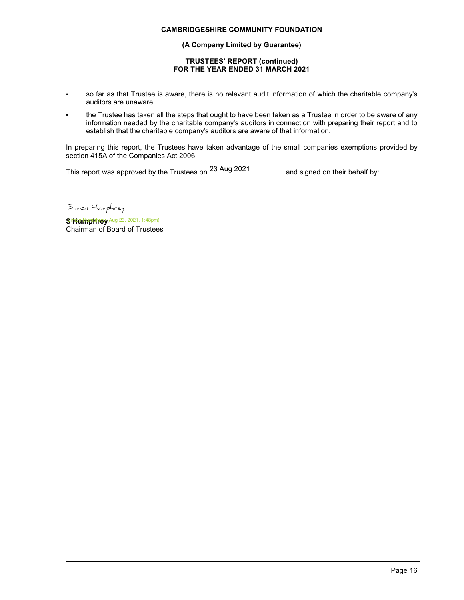### **(A Company Limited by Guarantee)**

### **TRUSTEES' REPORT (continued) FOR THE YEAR ENDED 31 MARCH 2021**

- so far as that Trustee is aware, there is no relevant audit information of which the charitable company's auditors are unaware
- the Trustee has taken all the steps that ought to have been taken as a Trustee in order to be aware of any information needed by the charitable company's auditors in connection with preparing their report and to establish that the charitable company's auditors are aware of that information.

In preparing this report, the Trustees have taken advantage of the small companies exemptions provided by section 415A of the Companies Act 2006.

This report was approved by the Trustees on  $^{23}$  Aug 2021  $\qquad \qquad$  and signed on their behalf by:

Simon Humphrey

**Simumphrey** (Aug 23, 2021, 1:48pm) Chairman of Board of Trustees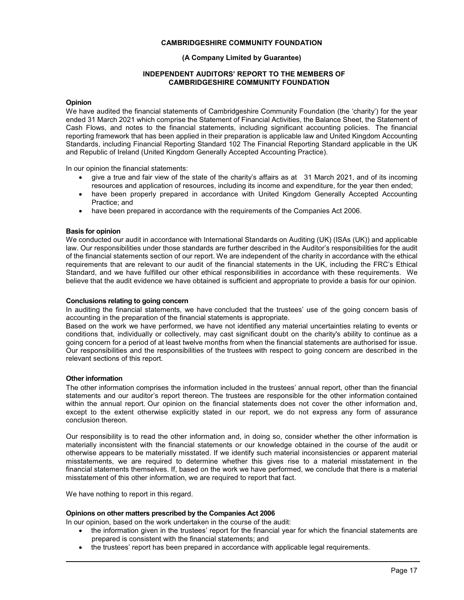### **(A Company Limited by Guarantee)**

### **INDEPENDENT AUDITORS' REPORT TO THE MEMBERS OF CAMBRIDGESHIRE COMMUNITY FOUNDATION**

#### **Opinion**

We have audited the financial statements of Cambridgeshire Community Foundation (the 'charity') for the year ended 31 March 2021 which comprise the Statement of Financial Activities, the Balance Sheet, the Statement of Cash Flows, and notes to the financial statements, including significant accounting policies. The financial reporting framework that has been applied in their preparation is applicable law and United Kingdom Accounting Standards, including Financial Reporting Standard 102 The Financial Reporting Standard applicable in the UK and Republic of Ireland (United Kingdom Generally Accepted Accounting Practice).

In our opinion the financial statements:

- $\bullet$  give a true and fair view of the state of the charity's affairs as at 31 March 2021, and of its incoming resources and application of resources, including its income and expenditure, for the year then ended;
- have been properly prepared in accordance with United Kingdom Generally Accepted Accounting Practice; and
- have been prepared in accordance with the requirements of the Companies Act 2006.

#### **Basis for opinion**

We conducted our audit in accordance with International Standards on Auditing (UK) (ISAs (UK)) and applicable law. Our responsibilities under those standards are further described in the Auditor's responsibilities for the audit of the financial statements section of our report. We are independent of the charity in accordance with the ethical requirements that are relevant to our audit of the financial statements in the UK, including the FRC's Ethical Standard, and we have fulfilled our other ethical responsibilities in accordance with these requirements. We believe that the audit evidence we have obtained is sufficient and appropriate to provide a basis for our opinion.

#### **Conclusions relating to going concern**

In auditing the financial statements, we have concluded that the trustees' use of the going concern basis of accounting in the preparation of the financial statements is appropriate.

Based on the work we have performed, we have not identified any material uncertainties relating to events or conditions that, individually or collectively, may cast significant doubt on the charity's ability to continue as a going concern for a period of at least twelve months from when the financial statements are authorised for issue. Our responsibilities and the responsibilities of the trustees with respect to going concern are described in the relevant sections of this report.

#### **Other information**

The other information comprises the information included in the trustees' annual report, other than the financial statements and our auditor's report thereon. The trustees are responsible for the other information contained within the annual report. Our opinion on the financial statements does not cover the other information and, except to the extent otherwise explicitly stated in our report, we do not express any form of assurance conclusion thereon.

Our responsibility is to read the other information and, in doing so, consider whether the other information is materially inconsistent with the financial statements or our knowledge obtained in the course of the audit or otherwise appears to be materially misstated. If we identify such material inconsistencies or apparent material misstatements, we are required to determine whether this gives rise to a material misstatement in the financial statements themselves. If, based on the work we have performed, we conclude that there is a material misstatement of this other information, we are required to report that fact.

We have nothing to report in this regard.

#### **Opinions on other matters prescribed by the Companies Act 2006**

In our opinion, based on the work undertaken in the course of the audit:

- the information given in the trustees' report for the financial year for which the financial statements are prepared is consistent with the financial statements; and
- the trustees' report has been prepared in accordance with applicable legal requirements.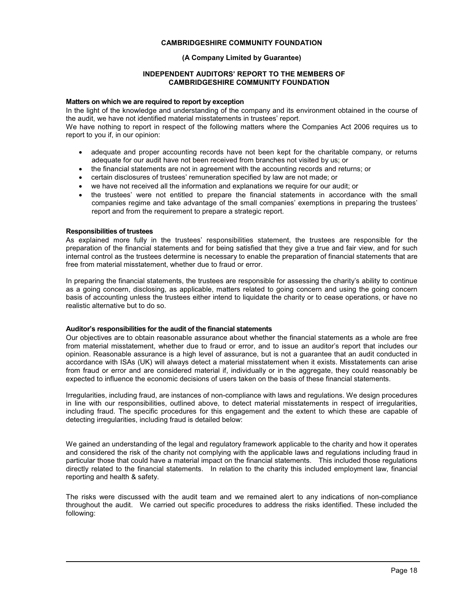### **(A Company Limited by Guarantee)**

### **INDEPENDENT AUDITORS' REPORT TO THE MEMBERS OF CAMBRIDGESHIRE COMMUNITY FOUNDATION**

### **Matters on which we are required to report by exception**

In the light of the knowledge and understanding of the company and its environment obtained in the course of the audit, we have not identified material misstatements in trustees' report.

We have nothing to report in respect of the following matters where the Companies Act 2006 requires us to report to you if, in our opinion:

- adequate and proper accounting records have not been kept for the charitable company, or returns adequate for our audit have not been received from branches not visited by us; or
- the financial statements are not in agreement with the accounting records and returns; or
- certain disclosures of trustees' remuneration specified by law are not made; or
- y we have not received all the information and explanations we require for our audit; or
- the trustees' were not entitled to prepare the financial statements in accordance with the small companies regime and take advantage of the small companies' exemptions in preparing the trustees' report and from the requirement to prepare a strategic report.

### **Responsibilities of trustees**

As explained more fully in the trustees' responsibilities statement, the trustees are responsible for the preparation of the financial statements and for being satisfied that they give a true and fair view, and for such internal control as the trustees determine is necessary to enable the preparation of financial statements that are free from material misstatement, whether due to fraud or error.

In preparing the financial statements, the trustees are responsible for assessing the charity's ability to continue as a going concern, disclosing, as applicable, matters related to going concern and using the going concern basis of accounting unless the trustees either intend to liquidate the charity or to cease operations, or have no realistic alternative but to do so.

### **Auditor's responsibilities for the audit of the financial statements**

Our objectives are to obtain reasonable assurance about whether the financial statements as a whole are free from material misstatement, whether due to fraud or error, and to issue an auditor's report that includes our opinion. Reasonable assurance is a high level of assurance, but is not a guarantee that an audit conducted in accordance with ISAs (UK) will always detect a material misstatement when it exists. Misstatements can arise from fraud or error and are considered material if, individually or in the aggregate, they could reasonably be expected to influence the economic decisions of users taken on the basis of these financial statements.

Irregularities, including fraud, are instances of non-compliance with laws and regulations. We design procedures in line with our responsibilities, outlined above, to detect material misstatements in respect of irregularities, including fraud. The specific procedures for this engagement and the extent to which these are capable of detecting irregularities, including fraud is detailed below:

We gained an understanding of the legal and regulatory framework applicable to the charity and how it operates and considered the risk of the charity not complying with the applicable laws and regulations including fraud in particular those that could have a material impact on the financial statements. This included those regulations directly related to the financial statements. In relation to the charity this included employment law, financial reporting and health & safety.

The risks were discussed with the audit team and we remained alert to any indications of non-compliance throughout the audit. We carried out specific procedures to address the risks identified. These included the following: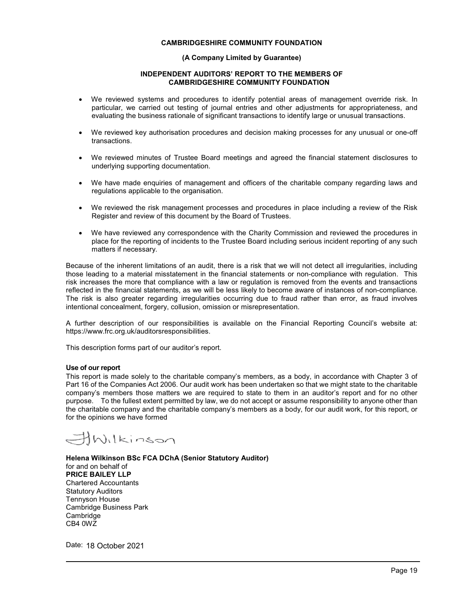### **(A Company Limited by Guarantee)**

#### **INDEPENDENT AUDITORS' REPORT TO THE MEMBERS OF CAMBRIDGESHIRE COMMUNITY FOUNDATION**

- We reviewed systems and procedures to identify potential areas of management override risk. In particular, we carried out testing of journal entries and other adjustments for appropriateness, and evaluating the business rationale of significant transactions to identify large or unusual transactions.
- We reviewed key authorisation procedures and decision making processes for any unusual or one-off transactions.
- y We reviewed minutes of Trustee Board meetings and agreed the financial statement disclosures to underlying supporting documentation.
- We have made enquiries of management and officers of the charitable company regarding laws and regulations applicable to the organisation.
- We reviewed the risk management processes and procedures in place including a review of the Risk Register and review of this document by the Board of Trustees.
- We have reviewed any correspondence with the Charity Commission and reviewed the procedures in place for the reporting of incidents to the Trustee Board including serious incident reporting of any such matters if necessary.

Because of the inherent limitations of an audit, there is a risk that we will not detect all irregularities, including those leading to a material misstatement in the financial statements or non-compliance with regulation. This risk increases the more that compliance with a law or regulation is removed from the events and transactions reflected in the financial statements, as we will be less likely to become aware of instances of non-compliance. The risk is also greater regarding irregularities occurring due to fraud rather than error, as fraud involves intentional concealment, forgery, collusion, omission or misrepresentation.

A further description of our responsibilities is available on the Financial Reporting Council's website at: https://www.frc.org.uk/auditorsresponsibilities.

This description forms part of our auditor's report.

### **Use of our report**

This report is made solely to the charitable company's members, as a body, in accordance with Chapter 3 of Part 16 of the Companies Act 2006. Our audit work has been undertaken so that we might state to the charitable company's members those matters we are required to state to them in an auditor's report and for no other purpose. To the fullest extent permitted by law, we do not accept or assume responsibility to anyone other than the charitable company and the charitable company's members as a body, for our audit work, for this report, or for the opinions we have formed

HWilkinson

**Helena Wilkinson BSc FCA DChA (Senior Statutory Auditor)**  for and on behalf of **PRICE BAILEY LLP**  Chartered Accountants Statutory Auditors Tennyson House Cambridge Business Park **Cambridge** CB4 0WZ

Date: 18 October 2021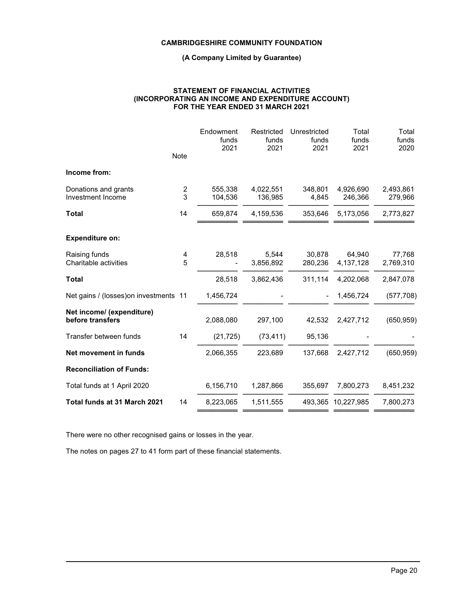### **(A Company Limited by Guarantee)**

### **STATEMENT OF FINANCIAL ACTIVITIES (INCORPORATING AN INCOME AND EXPENDITURE ACCOUNT) FOR THE YEAR ENDED 31 MARCH 2021**

|                                               | <b>Note</b>                  | Endowment<br>funds<br>2021 | Restricted<br>funds<br>2021 | Unrestricted<br>funds<br>2021 | Total<br>funds<br>2021 | Total<br>funds<br>2020 |
|-----------------------------------------------|------------------------------|----------------------------|-----------------------------|-------------------------------|------------------------|------------------------|
| Income from:                                  |                              |                            |                             |                               |                        |                        |
| Donations and grants<br>Investment Income     | $\overline{\mathbf{c}}$<br>3 | 555,338<br>104,536         | 4,022,551<br>136,985        | 348,801<br>4,845              | 4,926,690<br>246,366   | 2,493,861<br>279,966   |
| <b>Total</b>                                  | 14                           | 659,874                    | 4,159,536                   | 353,646                       | 5,173,056              | 2,773,827              |
| <b>Expenditure on:</b>                        |                              |                            |                             |                               |                        |                        |
| Raising funds<br>Charitable activities        | 4<br>5                       | 28,518                     | 5,544<br>3,856,892          | 30,878<br>280,236             | 64,940<br>4,137,128    | 77,768<br>2,769,310    |
| <b>Total</b>                                  |                              | 28,518                     | 3,862,436                   | 311,114                       | 4,202,068              | 2,847,078              |
| Net gains / (losses) on investments 11        |                              | 1,456,724                  |                             |                               | 1,456,724              | (577, 708)             |
| Net income/ (expenditure)<br>before transfers |                              | 2,088,080                  | 297,100                     | 42,532                        | 2,427,712              | (650, 959)             |
| Transfer between funds                        | 14                           | (21, 725)                  | (73, 411)                   | 95,136                        |                        |                        |
| Net movement in funds                         |                              | 2,066,355                  | 223,689                     | 137,668                       | 2,427,712              | (650, 959)             |
| <b>Reconciliation of Funds:</b>               |                              |                            |                             |                               |                        |                        |
| Total funds at 1 April 2020                   |                              | 6,156,710                  | 1,287,866                   | 355,697                       | 7,800,273              | 8,451,232              |
| Total funds at 31 March 2021                  | 14                           | 8,223,065                  | 1,511,555                   | 493,365                       | 10,227,985             | 7,800,273              |
|                                               |                              |                            |                             |                               |                        |                        |

There were no other recognised gains or losses in the year.

The notes on pages 27 to 41 form part of these financial statements.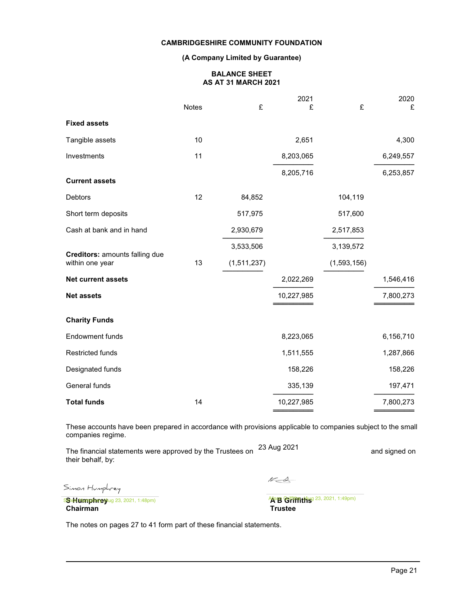### **(A Company Limited by Guarantee)**

### **BALANCE SHEET AS AT 31 MARCH 2021**

|                                                   |              |             | 2021       |             | 2020      |
|---------------------------------------------------|--------------|-------------|------------|-------------|-----------|
|                                                   | <b>Notes</b> | £           | £          | £           | £         |
| <b>Fixed assets</b>                               |              |             |            |             |           |
| Tangible assets                                   | 10           |             | 2,651      |             | 4,300     |
| Investments                                       | 11           |             | 8,203,065  |             | 6,249,557 |
| <b>Current assets</b>                             |              |             | 8,205,716  |             | 6,253,857 |
| Debtors                                           | 12           | 84,852      |            | 104,119     |           |
| Short term deposits                               |              | 517,975     |            | 517,600     |           |
| Cash at bank and in hand                          |              | 2,930,679   |            | 2,517,853   |           |
|                                                   |              | 3,533,506   |            | 3,139,572   |           |
| Creditors: amounts falling due<br>within one year | 13           | (1,511,237) |            | (1,593,156) |           |
| <b>Net current assets</b>                         |              |             | 2,022,269  |             | 1,546,416 |
| <b>Net assets</b>                                 |              |             | 10,227,985 |             | 7,800,273 |
| <b>Charity Funds</b>                              |              |             |            |             |           |
| <b>Endowment funds</b>                            |              |             | 8,223,065  |             | 6,156,710 |
| Restricted funds                                  |              |             | 1,511,555  |             | 1,287,866 |
| Designated funds                                  |              |             | 158,226    |             | 158,226   |
| General funds                                     |              |             | 335,139    |             | 197,471   |
| <b>Total funds</b>                                | 14           |             | 10,227,985 |             | 7,800,273 |
|                                                   |              |             |            |             |           |

These accounts have been prepared in accordance with provisions applicable to companies subject to the small companies regime.

The financial statements were approved by the Trustees on and signed on 23 Aug 2021 their behalf, by:

Simon Humphrey

<mark>S + Humphrey</mark> ug 23, 2021, 1:48pm) Simon Humphrey (Aug 23, 2021, 1:49pm) Simon Humphrey (Aug 23, 2021, 1:49pm) **Chairman** Trustee

 $K_{\leq d}$ 

The notes on pages 27 to 41 form part of these financial statements.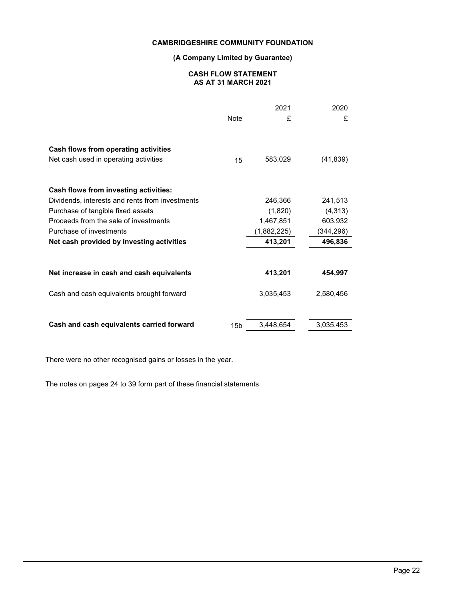### **(A Company Limited by Guarantee)**

### **CASH FLOW STATEMENT AS AT 31 MARCH 2021**

|                                                 |             | 2021        | 2020      |
|-------------------------------------------------|-------------|-------------|-----------|
|                                                 | <b>Note</b> | £           | £         |
|                                                 |             |             |           |
| Cash flows from operating activities            |             |             |           |
| Net cash used in operating activities           | 15          | 583,029     | (41, 839) |
|                                                 |             |             |           |
| Cash flows from investing activities:           |             |             |           |
| Dividends, interests and rents from investments |             | 246,366     | 241,513   |
| Purchase of tangible fixed assets               |             | (1,820)     | (4,313)   |
| Proceeds from the sale of investments           |             | 1,467,851   | 603,932   |
| Purchase of investments                         |             | (1,882,225) | (344,296) |
| Net cash provided by investing activities       |             | 413,201     | 496,836   |
|                                                 |             |             |           |
| Net increase in cash and cash equivalents       |             | 413,201     | 454,997   |
| Cash and cash equivalents brought forward       |             | 3,035,453   | 2,580,456 |
|                                                 |             |             |           |
| Cash and cash equivalents carried forward       | 15b         | 3,448,654   | 3,035,453 |
|                                                 |             |             |           |

There were no other recognised gains or losses in the year.

The notes on pages 24 to 39 form part of these financial statements.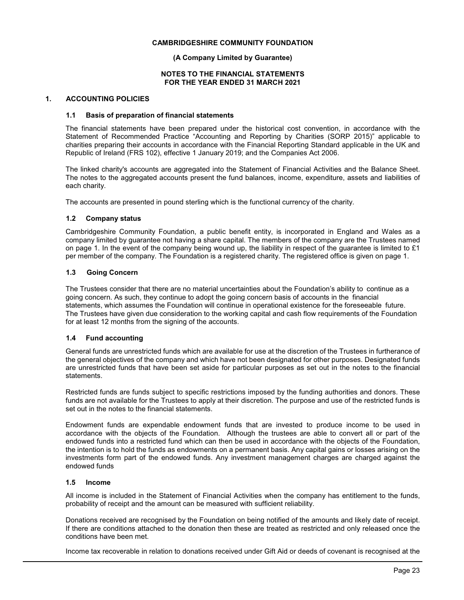### **(A Company Limited by Guarantee)**

### **NOTES TO THE FINANCIAL STATEMENTS FOR THE YEAR ENDED 31 MARCH 2021**

### **1. ACCOUNTING POLICIES**

### **1.1 Basis of preparation of financial statements**

The financial statements have been prepared under the historical cost convention, in accordance with the Statement of Recommended Practice "Accounting and Reporting by Charities (SORP 2015)" applicable to charities preparing their accounts in accordance with the Financial Reporting Standard applicable in the UK and Republic of Ireland (FRS 102), effective 1 January 2019; and the Companies Act 2006.

The linked charity's accounts are aggregated into the Statement of Financial Activities and the Balance Sheet. The notes to the aggregated accounts present the fund balances, income, expenditure, assets and liabilities of each charity.

The accounts are presented in pound sterling which is the functional currency of the charity.

### **1.2 Company status**

Cambridgeshire Community Foundation, a public benefit entity, is incorporated in England and Wales as a company limited by guarantee not having a share capital. The members of the company are the Trustees named on page 1. In the event of the company being wound up, the liability in respect of the guarantee is limited to £1 per member of the company. The Foundation is a registered charity. The registered office is given on page 1.

### **1.3 Going Concern**

The Trustees consider that there are no material uncertainties about the Foundation's ability to continue as a going concern. As such, they continue to adopt the going concern basis of accounts in the financial statements, which assumes the Foundation will continue in operational existence for the foreseeable future. The Trustees have given due consideration to the working capital and cash flow requirements of the Foundation for at least 12 months from the signing of the accounts.

### **1.4 Fund accounting**

General funds are unrestricted funds which are available for use at the discretion of the Trustees in furtherance of the general objectives of the company and which have not been designated for other purposes. Designated funds are unrestricted funds that have been set aside for particular purposes as set out in the notes to the financial statements.

Restricted funds are funds subject to specific restrictions imposed by the funding authorities and donors. These funds are not available for the Trustees to apply at their discretion. The purpose and use of the restricted funds is set out in the notes to the financial statements.

Endowment funds are expendable endowment funds that are invested to produce income to be used in accordance with the objects of the Foundation. Although the trustees are able to convert all or part of the endowed funds into a restricted fund which can then be used in accordance with the objects of the Foundation, the intention is to hold the funds as endowments on a permanent basis. Any capital gains or losses arising on the investments form part of the endowed funds. Any investment management charges are charged against the endowed funds

### **1.5 Income**

All income is included in the Statement of Financial Activities when the company has entitlement to the funds, probability of receipt and the amount can be measured with sufficient reliability.

Donations received are recognised by the Foundation on being notified of the amounts and likely date of receipt. If there are conditions attached to the donation then these are treated as restricted and only released once the conditions have been met.

Income tax recoverable in relation to donations received under Gift Aid or deeds of covenant is recognised at the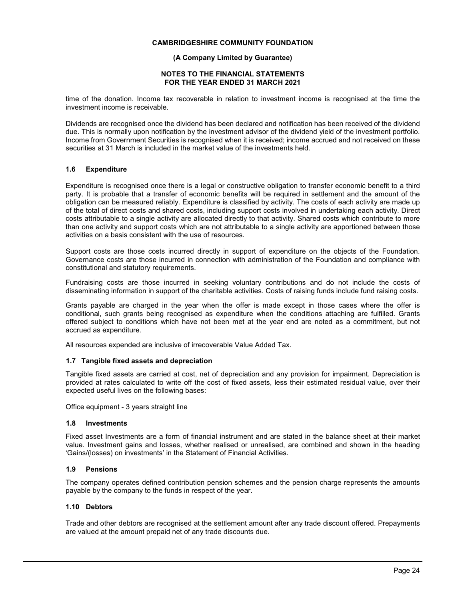### **(A Company Limited by Guarantee)**

### **NOTES TO THE FINANCIAL STATEMENTS FOR THE YEAR ENDED 31 MARCH 2021**

time of the donation. Income tax recoverable in relation to investment income is recognised at the time the investment income is receivable.

Dividends are recognised once the dividend has been declared and notification has been received of the dividend due. This is normally upon notification by the investment advisor of the dividend yield of the investment portfolio. Income from Government Securities is recognised when it is received; income accrued and not received on these securities at 31 March is included in the market value of the investments held.

### **1.6 Expenditure**

Expenditure is recognised once there is a legal or constructive obligation to transfer economic benefit to a third party. It is probable that a transfer of economic benefits will be required in settlement and the amount of the obligation can be measured reliably. Expenditure is classified by activity. The costs of each activity are made up of the total of direct costs and shared costs, including support costs involved in undertaking each activity. Direct costs attributable to a single activity are allocated directly to that activity. Shared costs which contribute to more than one activity and support costs which are not attributable to a single activity are apportioned between those activities on a basis consistent with the use of resources.

Support costs are those costs incurred directly in support of expenditure on the objects of the Foundation. Governance costs are those incurred in connection with administration of the Foundation and compliance with constitutional and statutory requirements.

Fundraising costs are those incurred in seeking voluntary contributions and do not include the costs of disseminating information in support of the charitable activities. Costs of raising funds include fund raising costs.

Grants payable are charged in the year when the offer is made except in those cases where the offer is conditional, such grants being recognised as expenditure when the conditions attaching are fulfilled. Grants offered subject to conditions which have not been met at the year end are noted as a commitment, but not accrued as expenditure.

All resources expended are inclusive of irrecoverable Value Added Tax.

### **1.7 Tangible fixed assets and depreciation**

Tangible fixed assets are carried at cost, net of depreciation and any provision for impairment. Depreciation is provided at rates calculated to write off the cost of fixed assets, less their estimated residual value, over their expected useful lives on the following bases:

Office equipment - 3 years straight line

### **1.8 Investments**

Fixed asset Investments are a form of financial instrument and are stated in the balance sheet at their market value. Investment gains and losses, whether realised or unrealised, are combined and shown in the heading 'Gains/(losses) on investments' in the Statement of Financial Activities.

### **1.9 Pensions**

The company operates defined contribution pension schemes and the pension charge represents the amounts payable by the company to the funds in respect of the year.

### **1.10 Debtors**

Trade and other debtors are recognised at the settlement amount after any trade discount offered. Prepayments are valued at the amount prepaid net of any trade discounts due.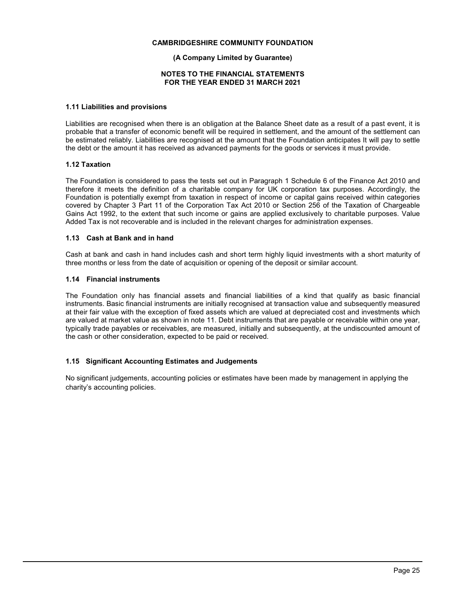### **(A Company Limited by Guarantee)**

### **NOTES TO THE FINANCIAL STATEMENTS FOR THE YEAR ENDED 31 MARCH 2021**

### **1.11 Liabilities and provisions**

Liabilities are recognised when there is an obligation at the Balance Sheet date as a result of a past event, it is probable that a transfer of economic benefit will be required in settlement, and the amount of the settlement can be estimated reliably. Liabilities are recognised at the amount that the Foundation anticipates It will pay to settle the debt or the amount it has received as advanced payments for the goods or services it must provide.

### **1.12 Taxation**

The Foundation is considered to pass the tests set out in Paragraph 1 Schedule 6 of the Finance Act 2010 and therefore it meets the definition of a charitable company for UK corporation tax purposes. Accordingly, the Foundation is potentially exempt from taxation in respect of income or capital gains received within categories covered by Chapter 3 Part 11 of the Corporation Tax Act 2010 or Section 256 of the Taxation of Chargeable Gains Act 1992, to the extent that such income or gains are applied exclusively to charitable purposes. Value Added Tax is not recoverable and is included in the relevant charges for administration expenses.

### **1.13 Cash at Bank and in hand**

Cash at bank and cash in hand includes cash and short term highly liquid investments with a short maturity of three months or less from the date of acquisition or opening of the deposit or similar account.

### **1.14 Financial instruments**

The Foundation only has financial assets and financial liabilities of a kind that qualify as basic financial instruments. Basic financial instruments are initially recognised at transaction value and subsequently measured at their fair value with the exception of fixed assets which are valued at depreciated cost and investments which are valued at market value as shown in note 11. Debt instruments that are payable or receivable within one year, typically trade payables or receivables, are measured, initially and subsequently, at the undiscounted amount of the cash or other consideration, expected to be paid or received.

### **1.15 Significant Accounting Estimates and Judgements**

No significant judgements, accounting policies or estimates have been made by management in applying the charity's accounting policies.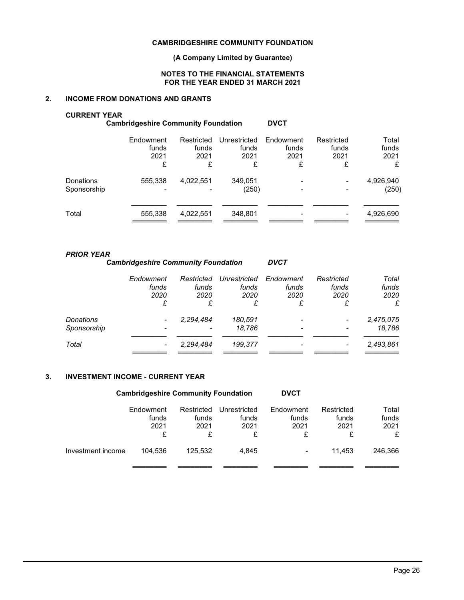### **(A Company Limited by Guarantee)**

### **NOTES TO THE FINANCIAL STATEMENTS FOR THE YEAR ENDED 31 MARCH 2021**

### **2. INCOME FROM DONATIONS AND GRANTS**

### **CURRENT YEAR**

 **Cambridgeshire Community Foundation DVCT** 

|                          | Endowment<br>funds<br>2021<br>£ | Restricted<br>funds<br>2021<br>£ | Unrestricted<br>funds<br>2021<br>£ | Endowment<br>funds<br>2021<br>£ | Restricted<br>funds<br>2021<br>£ | Total<br>funds<br>2021<br>£ |
|--------------------------|---------------------------------|----------------------------------|------------------------------------|---------------------------------|----------------------------------|-----------------------------|
| Donations<br>Sponsorship | 555,338                         | 4,022,551<br>٠                   | 349,051<br>(250)                   | $\overline{\phantom{0}}$<br>٠   |                                  | 4,926,940<br>(250)          |
| Total                    | 555,338                         | 4.022.551                        | 348.801                            | ٠                               |                                  | 4,926,690                   |

### *PRIOR YEAR*

 *Cambridgeshire Community Foundation DVCT* 

| Endowment<br>funds<br>2020<br>£ | Restricted<br>funds<br>2020 | Unrestricted<br>funds<br>2020<br>£ | Endowment<br>funds<br>2020 | Restricted<br>funds<br>2020 | Total<br>funds<br>2020<br>£ |
|---------------------------------|-----------------------------|------------------------------------|----------------------------|-----------------------------|-----------------------------|
|                                 | 2,294,484                   | 180,591                            |                            | ٠                           | 2,475,075                   |
|                                 |                             | 18.786                             |                            | $\overline{\phantom{0}}$    | 18.786                      |
| $\overline{\phantom{0}}$        | 2,294,484                   | 199.377                            |                            | -                           | 2,493,861                   |
|                                 |                             |                                    |                            |                             |                             |

### **3. INVESTMENT INCOME - CURRENT YEAR**

|                   | <b>Cambridgeshire Community Foundation</b> |                     |                       | <b>DVCT</b>        |                     |                |
|-------------------|--------------------------------------------|---------------------|-----------------------|--------------------|---------------------|----------------|
|                   | Endowment<br>funds                         | Restricted<br>funds | Unrestricted<br>funds | Endowment<br>funds | Restricted<br>funds | Total<br>funds |
|                   | 2021<br>£                                  | 2021<br>£           | 2021<br>£             | 2021<br>£          | 2021<br>£           | 2021<br>£      |
| Investment income | 104.536                                    | 125.532             | 4.845                 |                    | 11.453              | 246.366        |
|                   |                                            |                     |                       | ۰                  |                     |                |
|                   |                                            |                     |                       |                    |                     |                |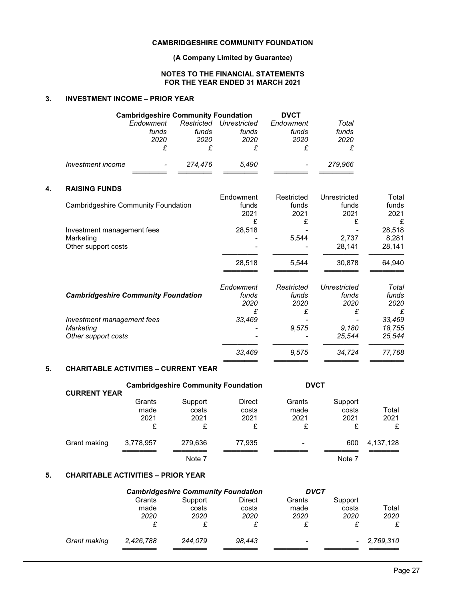### **(A Company Limited by Guarantee)**

### **NOTES TO THE FINANCIAL STATEMENTS FOR THE YEAR ENDED 31 MARCH 2021**

### **3. INVESTMENT INCOME – PRIOR YEAR**

|    |                                            |           | <b>Cambridgeshire Community Foundation</b> |              | <b>DVCT</b> |                     |        |
|----|--------------------------------------------|-----------|--------------------------------------------|--------------|-------------|---------------------|--------|
|    |                                            | Endowment | Restricted                                 | Unrestricted | Endowment   | Total               |        |
|    |                                            | funds     | funds                                      | funds        | funds       | funds               |        |
|    |                                            | 2020      | 2020                                       | 2020         | 2020        | 2020                |        |
|    |                                            | £         | £                                          | £            | £           | £                   |        |
|    | Investment income                          |           | 274,476                                    | 5,490        |             | 279,966             |        |
| 4. | <b>RAISING FUNDS</b>                       |           |                                            |              |             |                     |        |
|    |                                            |           |                                            | Endowment    | Restricted  | Unrestricted        | Total  |
|    | <b>Cambridgeshire Community Foundation</b> |           |                                            | funds        | funds       | funds               | funds  |
|    |                                            |           |                                            | 2021         | 2021        | 2021                | 2021   |
|    |                                            |           |                                            | £            | £           | £                   | £      |
|    | Investment management fees                 |           |                                            | 28,518       |             |                     | 28,518 |
|    | Marketing                                  |           |                                            |              | 5,544       | 2,737               | 8,281  |
|    | Other support costs                        |           |                                            |              |             | 28,141              | 28,141 |
|    |                                            |           |                                            |              |             |                     |        |
|    |                                            |           |                                            | 28,518       | 5,544       | 30,878              | 64,940 |
|    |                                            |           |                                            |              |             |                     |        |
|    |                                            |           |                                            | Endowment    | Restricted  | <b>Unrestricted</b> | Total  |
|    | <b>Cambridgeshire Community Foundation</b> |           |                                            | funds        | funds       | funds               | funds  |
|    |                                            |           |                                            | 2020         | 2020        | 2020                | 2020   |
|    |                                            |           |                                            | £            | £           | £                   | £      |
|    | Investment management fees                 |           |                                            | 33,469       |             |                     | 33,469 |
|    | Marketing                                  |           |                                            |              | 9,575       | 9.180               | 18,755 |
|    | Other support costs                        |           |                                            |              |             | 25,544              | 25,544 |
|    |                                            |           |                                            | 33,469       | 9,575       | 34,724              | 77,768 |
|    |                                            |           |                                            |              |             |                     |        |

### **5. CHARITABLE ACTIVITIES – CURRENT YEAR**

| <b>CURRENT YEAR</b> |                             | <b>Cambridgeshire Community Foundation</b> |                                     | <b>DVCT</b>                 |                               |                    |
|---------------------|-----------------------------|--------------------------------------------|-------------------------------------|-----------------------------|-------------------------------|--------------------|
|                     | Grants<br>made<br>2021<br>£ | Support<br>costs<br>2021<br>£              | <b>Direct</b><br>costs<br>2021<br>£ | Grants<br>made<br>2021<br>£ | Support<br>costs<br>2021<br>£ | Total<br>2021<br>£ |
| Grant making        | 3,778,957                   | 279.636                                    | 77,935                              |                             | 600                           | 4,137,128          |
|                     |                             | Note 7                                     |                                     |                             | Note 7                        |                    |

### **5. CHARITABLE ACTIVITIES – PRIOR YEAR**

|              | <b>Cambridgeshire Community Foundation</b> |                          |                              | <b>DVCT</b>            |                          |               |
|--------------|--------------------------------------------|--------------------------|------------------------------|------------------------|--------------------------|---------------|
|              | Grants<br>made<br>2020                     | Support<br>costs<br>2020 | Direct<br>costs<br>2020<br>₽ | Grants<br>made<br>2020 | Support<br>costs<br>2020 | Total<br>2020 |
| Grant making | 2,426,788                                  | 244.079                  | 98.443                       |                        | ۰                        | 2,769,310     |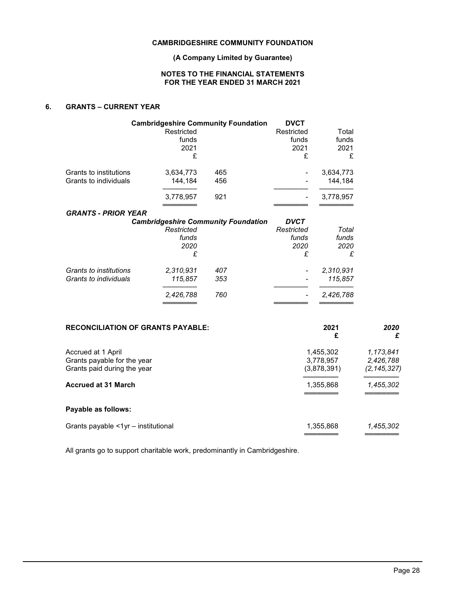### **(A Company Limited by Guarantee)**

### **NOTES TO THE FINANCIAL STATEMENTS FOR THE YEAR ENDED 31 MARCH 2021**

### **6. GRANTS – CURRENT YEAR**

|                                                                                  | Restricted<br>funds<br>2021<br>£ | <b>Cambridgeshire Community Foundation</b> | <b>DVCT</b><br>Restricted<br>funds<br>2021<br>£ | Total<br>funds<br>2021<br>£           |                                         |
|----------------------------------------------------------------------------------|----------------------------------|--------------------------------------------|-------------------------------------------------|---------------------------------------|-----------------------------------------|
| Grants to institutions<br>Grants to individuals                                  | 3,634,773<br>144,184             | 465<br>456                                 |                                                 | 3,634,773<br>144,184                  |                                         |
|                                                                                  | 3,778,957                        | 921                                        |                                                 | 3,778,957                             |                                         |
| <b>GRANTS - PRIOR YEAR</b>                                                       | Restricted<br>funds<br>2020<br>£ | <b>Cambridgeshire Community Foundation</b> | <b>DVCT</b><br>Restricted<br>funds<br>2020<br>£ | Total<br>funds<br>2020<br>£           |                                         |
| Grants to institutions<br>Grants to individuals                                  | 2,310,931<br>115,857             | 407<br>353                                 | $\overline{\phantom{a}}$                        | 2,310,931<br>115,857                  |                                         |
|                                                                                  | 2,426,788                        | 760                                        |                                                 | 2,426,788                             |                                         |
| <b>RECONCILIATION OF GRANTS PAYABLE:</b>                                         |                                  |                                            |                                                 | 2021<br>£                             | 2020<br>£                               |
| Accrued at 1 April<br>Grants payable for the year<br>Grants paid during the year |                                  |                                            |                                                 | 1,455,302<br>3,778,957<br>(3,878,391) | 1,173,841<br>2,426,788<br>(2, 145, 327) |
| <b>Accrued at 31 March</b>                                                       |                                  |                                            |                                                 | 1,355,868                             | 1,455,302                               |
| Payable as follows:                                                              |                                  |                                            |                                                 |                                       |                                         |
| Grants payable <1yr - institutional                                              |                                  |                                            |                                                 | 1,355,868                             | 1,455,302                               |

őőőőőőőő őőőőőőőő

All grants go to support charitable work, predominantly in Cambridgeshire.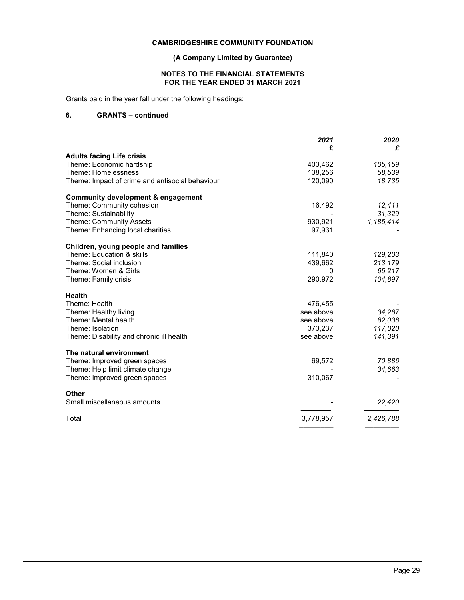### **(A Company Limited by Guarantee)**

### **NOTES TO THE FINANCIAL STATEMENTS FOR THE YEAR ENDED 31 MARCH 2021**

Grants paid in the year fall under the following headings:

### **6. GRANTS – continued**

|                                                 | 2021<br>£ | 2020<br>£ |
|-------------------------------------------------|-----------|-----------|
| <b>Adults facing Life crisis</b>                |           |           |
| Theme: Economic hardship                        | 403,462   | 105,159   |
| Theme: Homelessness                             | 138,256   | 58,539    |
| Theme: Impact of crime and antisocial behaviour | 120,090   | 18,735    |
| <b>Community development &amp; engagement</b>   |           |           |
| Theme: Community cohesion                       | 16,492    | 12,411    |
| Theme: Sustainability                           |           | 31,329    |
| <b>Theme: Community Assets</b>                  | 930,921   | 1,185,414 |
| Theme: Enhancing local charities                | 97,931    |           |
| Children, young people and families             |           |           |
| Theme: Education & skills                       | 111,840   | 129,203   |
| Theme: Social inclusion                         | 439,662   | 213,179   |
| Theme: Women & Girls                            | $\Omega$  | 65,217    |
| Theme: Family crisis                            | 290,972   | 104,897   |
| <b>Health</b>                                   |           |           |
| Theme: Health                                   | 476,455   |           |
| Theme: Healthy living                           | see above | 34,287    |
| Theme: Mental health                            | see above | 82,038    |
| Theme: Isolation                                | 373,237   | 117,020   |
| Theme: Disability and chronic ill health        | see above | 141,391   |
| The natural environment                         |           |           |
| Theme: Improved green spaces                    | 69,572    | 70,886    |
| Theme: Help limit climate change                |           | 34,663    |
| Theme: Improved green spaces                    | 310,067   |           |
| <b>Other</b>                                    |           |           |
| Small miscellaneous amounts                     |           | 22,420    |
| Total                                           | 3,778,957 | 2,426,788 |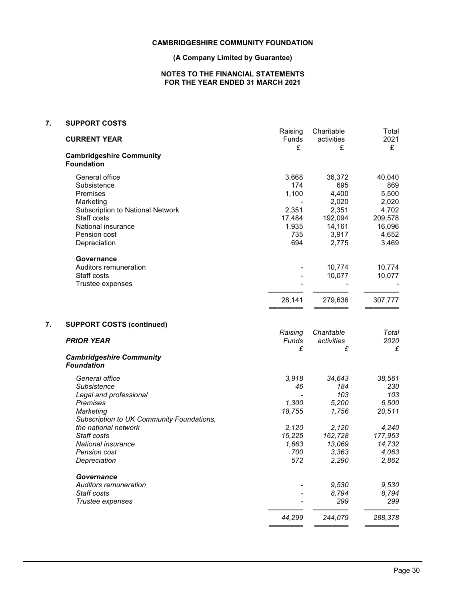### **(A Company Limited by Guarantee)**

### **NOTES TO THE FINANCIAL STATEMENTS FOR THE YEAR ENDED 31 MARCH 2021**

### **7. SUPPORT COSTS**

| <b>CURRENT YEAR</b>                       | Raising<br>Funds<br>£ | Charitable<br>activities<br>£ | Total<br>2021<br>£ |
|-------------------------------------------|-----------------------|-------------------------------|--------------------|
| <b>Cambridgeshire Community</b>           |                       |                               |                    |
| <b>Foundation</b>                         |                       |                               |                    |
| General office                            | 3,668                 | 36,372                        | 40,040             |
| Subsistence                               | 174                   | 695                           | 869                |
| Premises                                  | 1,100                 | 4,400                         | 5,500              |
| Marketing                                 |                       | 2,020                         | 2,020              |
| Subscription to National Network          | 2,351                 | 2,351                         | 4,702              |
| Staff costs                               | 17,484                | 192,094                       | 209,578            |
| National insurance                        | 1,935                 | 14,161                        | 16,096             |
| Pension cost                              | 735                   | 3,917                         | 4,652              |
| Depreciation                              | 694                   | 2,775                         | 3,469              |
| Governance                                |                       |                               |                    |
| Auditors remuneration                     |                       | 10,774                        | 10,774             |
| Staff costs                               |                       | 10,077                        | 10,077             |
| Trustee expenses                          |                       |                               |                    |
|                                           | 28,141                | 279,636                       | 307,777            |
|                                           |                       |                               |                    |
| <b>SUPPORT COSTS (continued)</b>          | Raising               | Charitable                    | Total              |
| <b>PRIOR YEAR</b>                         | Funds                 | activities                    | 2020               |
|                                           | £                     | £                             | £                  |
| <b>Cambridgeshire Community</b>           |                       |                               |                    |
| <b>Foundation</b>                         |                       |                               |                    |
| General office                            | 3,918                 | 34,643                        | 38,561             |
| Subsistence                               | 46                    | 184                           | 230                |
| Legal and professional                    |                       | 103                           | 103                |
| Premises                                  | 1,300                 | 5,200                         | 6,500              |
| Marketing                                 | 18,755                | 1,756                         | 20,511             |
| Subscription to UK Community Foundations, |                       |                               |                    |
| the national network                      | 2,120                 | 2,120                         | 4,240              |
| Staff costs                               | 15,225                | 162,728                       | 177,953            |
| National insurance                        | 1,663                 | 13,069                        | 14,732             |
| Pension cost                              | 700                   | 3,363                         | 4,063              |
| Depreciation                              | 572                   | 2,290                         | 2,862              |
| Governance                                |                       |                               |                    |
| <b>Auditors remuneration</b>              |                       | 9,530                         | 9,530              |
| Staff costs                               |                       | 8,794                         | 8,794              |
| Trustee expenses                          |                       | 299                           | 299                |
|                                           | 44,299                | 244,079                       | 288,378            |
|                                           |                       |                               |                    |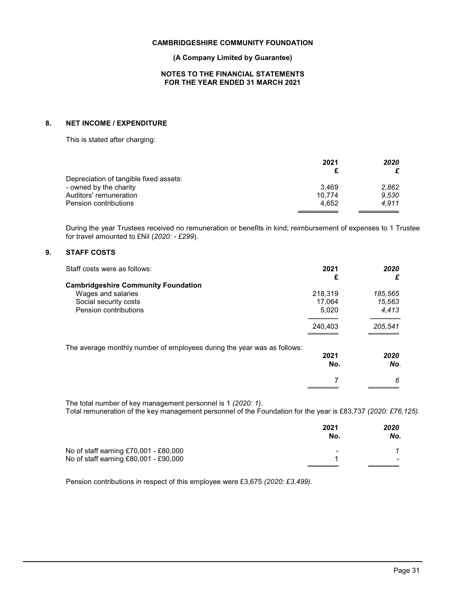### **(A Company Limited by Guarantee)**

### **NOTES TO THE FINANCIAL STATEMENTS FOR THE YEAR ENDED 31 MARCH 2021**

### **8. NET INCOME / EXPENDITURE**

This is stated after charging:

|                                        | 2021   | 2020  |
|----------------------------------------|--------|-------|
|                                        |        |       |
| Depreciation of tangible fixed assets: |        |       |
| - owned by the charity                 | 3.469  | 2,862 |
| Auditors' remuneration                 | 10.774 | 9,530 |
| Pension contributions                  | 4.652  | 4.911 |

During the year Trustees received no remuneration or benefits in kind; reimbursement of expenses to 1 Trustee for travel amounted to £Nil (*2020: - £299*).

### **9. STAFF COSTS**

| Staff costs were as follows:                                            | 2021<br>£   | 2020        |
|-------------------------------------------------------------------------|-------------|-------------|
| <b>Cambridgeshire Community Foundation</b>                              |             |             |
| Wages and salaries                                                      | 218,319     | 185,565     |
| Social security costs                                                   | 17.064      | 15,563      |
| Pension contributions                                                   | 5,020       | 4,413       |
|                                                                         | 240,403     | 205,541     |
| The average monthly number of employees during the year was as follows: | 2021<br>No. | 2020<br>No. |
|                                                                         | 7           | 6           |

The total number of key management personnel is 1 *(2020: 1)*. Total remuneration of the key management personnel of the Foundation for the year is £83,737 *(2020: £76,125).* 

|                                       | 2021<br>No. | 2020<br>No.              |
|---------------------------------------|-------------|--------------------------|
| No of staff earning £70,001 - £80,000 | -           |                          |
| No of staff earning £80,001 - £90,000 |             | $\overline{\phantom{0}}$ |
|                                       |             |                          |

Pension contributions in respect of this employee were £3,675 *(2020: £3,499)*.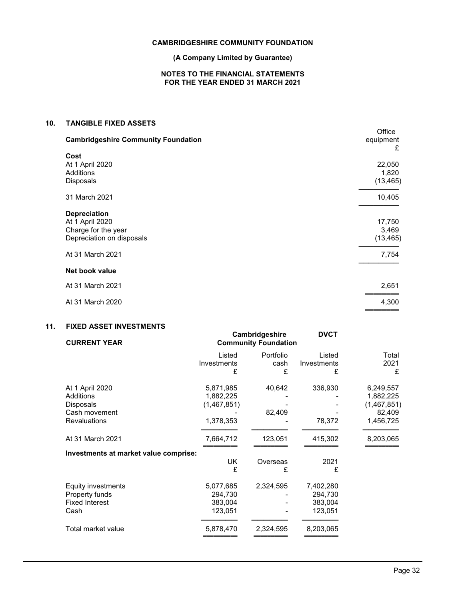### **(A Company Limited by Guarantee)**

### **NOTES TO THE FINANCIAL STATEMENTS FOR THE YEAR ENDED 31 MARCH 2021**

### **10. TANGIBLE FIXED ASSETS**

| <b>Cambridgeshire Community Foundation</b> | Office<br>equipment<br>£ |
|--------------------------------------------|--------------------------|
| Cost                                       |                          |
| At 1 April 2020                            | 22,050                   |
| <b>Additions</b>                           | 1,820                    |
| Disposals                                  | (13, 465)                |
| 31 March 2021                              | 10,405                   |
| <b>Depreciation</b>                        |                          |
| At 1 April 2020                            | 17,750                   |
| Charge for the year                        | 3,469                    |
| Depreciation on disposals                  | (13, 465)                |
| At 31 March 2021                           | 7,754                    |
| Net book value                             |                          |
| At 31 March 2021                           | 2,651                    |
| At 31 March 2020                           | 4,300                    |
|                                            |                          |

#### **11. FIXED ASSET INVESTMENTS**

| <b>CURRENT YEAR</b>                                                   |                                            | Cambridgeshire<br><b>Community Foundation</b> | <b>DVCT</b>                                |                                                 |  |
|-----------------------------------------------------------------------|--------------------------------------------|-----------------------------------------------|--------------------------------------------|-------------------------------------------------|--|
|                                                                       | Listed<br>Investments<br>£                 | Portfolio<br>cash<br>£                        | Listed<br>Investments<br>£                 | Total<br>2021<br>£                              |  |
| At 1 April 2020<br>Additions<br><b>Disposals</b><br>Cash movement     | 5,871,985<br>1,882,225<br>(1,467,851)      | 40,642<br>82,409                              | 336,930                                    | 6,249,557<br>1,882,225<br>(1,467,851)<br>82,409 |  |
| <b>Revaluations</b>                                                   | 1,378,353                                  |                                               | 78,372                                     | 1,456,725                                       |  |
| At 31 March 2021                                                      | 7,664,712                                  | 123,051                                       | 415,302                                    | 8,203,065                                       |  |
| Investments at market value comprise:                                 |                                            |                                               |                                            |                                                 |  |
|                                                                       | UK<br>£                                    | Overseas<br>£                                 | 2021<br>£                                  |                                                 |  |
| Equity investments<br>Property funds<br><b>Fixed Interest</b><br>Cash | 5,077,685<br>294,730<br>383,004<br>123,051 | 2,324,595                                     | 7,402,280<br>294,730<br>383,004<br>123,051 |                                                 |  |
| Total market value                                                    | 5,878,470                                  | 2,324,595                                     | 8,203,065                                  |                                                 |  |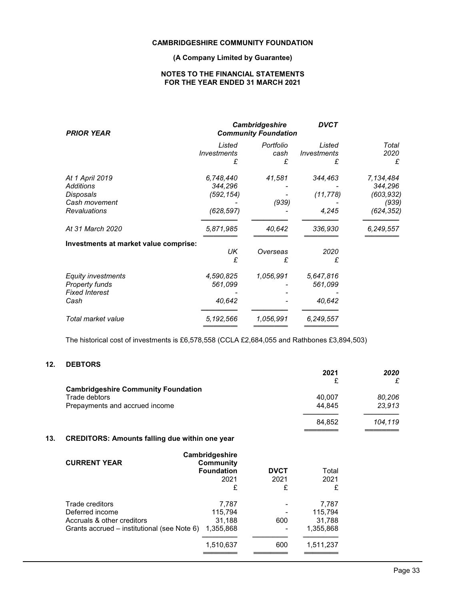### **(A Company Limited by Guarantee)**

### **NOTES TO THE FINANCIAL STATEMENTS FOR THE YEAR ENDED 31 MARCH 2021**

|            | <b>DVCT</b>               | <b>Cambridgeshire</b><br><b>Community Foundation</b> |                    | <b>PRIOR YEAR</b>                     |  |
|------------|---------------------------|------------------------------------------------------|--------------------|---------------------------------------|--|
| Total      | Listed                    | Portfolio                                            | Listed             |                                       |  |
| 2020       | <i><b>Investments</b></i> | cash                                                 | <b>Investments</b> |                                       |  |
| £          | £                         | £                                                    | £                  |                                       |  |
| 7,134,484  | 344,463                   | 41,581                                               | 6,748,440          | At 1 April 2019                       |  |
| 344,296    |                           |                                                      | 344,296            | <b>Additions</b>                      |  |
| (603, 932) | (11, 778)                 |                                                      | (592, 154)         | Disposals                             |  |
| (939)      |                           | (939)                                                |                    | Cash movement                         |  |
| (624, 352) | 4,245                     |                                                      | (628, 597)         | <b>Revaluations</b>                   |  |
| 6,249,557  | 336,930                   | 40,642                                               | 5,871,985          | At 31 March 2020                      |  |
|            |                           |                                                      |                    | Investments at market value comprise: |  |
|            | 2020                      | Overseas                                             | UK                 |                                       |  |
|            | £                         | £                                                    | £                  |                                       |  |
|            | 5,647,816                 | 1,056,991                                            | 4,590,825          | <b>Equity investments</b>             |  |
|            | 561,099                   |                                                      | 561,099            | Property funds                        |  |
|            |                           |                                                      |                    | <b>Fixed Interest</b>                 |  |
|            | 40,642                    |                                                      | 40,642             | Cash                                  |  |
|            | 6,249,557                 | 1,056,991                                            | 5,192,566          | Total market value                    |  |

The historical cost of investments is £6,578,558 (CCLA £2,684,055 and Rathbones £3,894,503)

### **12. DEBTORS**

|     |                                                       |                             |             | 2021<br>£ | 2020<br>£ |
|-----|-------------------------------------------------------|-----------------------------|-------------|-----------|-----------|
|     | <b>Cambridgeshire Community Foundation</b>            |                             |             |           |           |
|     | Trade debtors                                         |                             |             | 40,007    | 80,206    |
|     | Prepayments and accrued income                        |                             |             | 44,845    | 23,913    |
|     |                                                       |                             |             | 84,852    | 104,119   |
| 13. | <b>CREDITORS: Amounts falling due within one year</b> |                             |             |           |           |
|     | <b>CURRENT YEAR</b>                                   | Cambridgeshire<br>Community |             |           |           |
|     |                                                       | <b>Foundation</b>           | <b>DVCT</b> | Total     |           |
|     |                                                       | 2021                        | 2021        | 2021      |           |
|     |                                                       | £                           | £           | £         |           |
|     | Trade creditors                                       | 7,787                       |             | 7,787     |           |
|     | Deferred income                                       | 115,794                     |             | 115,794   |           |
|     | Accruals & other creditors                            | 31,188                      | 600         | 31,788    |           |
|     | Grants accrued – institutional (see Note 6)           | 1,355,868                   |             | 1,355,868 |           |
|     |                                                       | 1,510,637                   | 600         | 1,511,237 |           |
|     |                                                       |                             |             |           |           |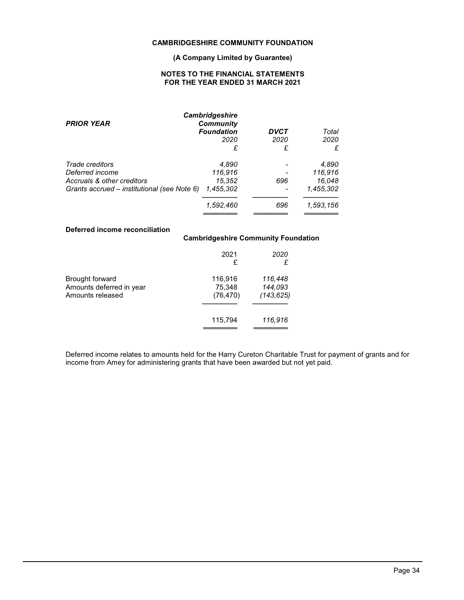### **(A Company Limited by Guarantee)**

### **NOTES TO THE FINANCIAL STATEMENTS FOR THE YEAR ENDED 31 MARCH 2021**

| <b>Community</b><br><b>Foundation</b><br>2020            | <b>DVCT</b><br>2020 | Total<br>2020 |
|----------------------------------------------------------|---------------------|---------------|
| £                                                        | £                   | £             |
| 4,890                                                    |                     | 4,890         |
| 116,916                                                  |                     | 116,916       |
| 15,352                                                   | 696                 | 16,048        |
| 1,455,302<br>Grants accrued – institutional (see Note 6) |                     | 1,455,302     |
| 1,592,460                                                | 696                 | 1,593,156     |
|                                                          |                     |               |

### **Deferred income reconciliation**

|                                                                 | 2021<br>£                      | 2020                             |
|-----------------------------------------------------------------|--------------------------------|----------------------------------|
| Brought forward<br>Amounts deferred in year<br>Amounts released | 116,916<br>75,348<br>(76, 470) | 116,448<br>144,093<br>(143, 625) |
|                                                                 | 115,794                        | 116,916                          |

Deferred income relates to amounts held for the Harry Cureton Charitable Trust for payment of grants and for income from Amey for administering grants that have been awarded but not yet paid.

 **Cambridgeshire Community Foundation**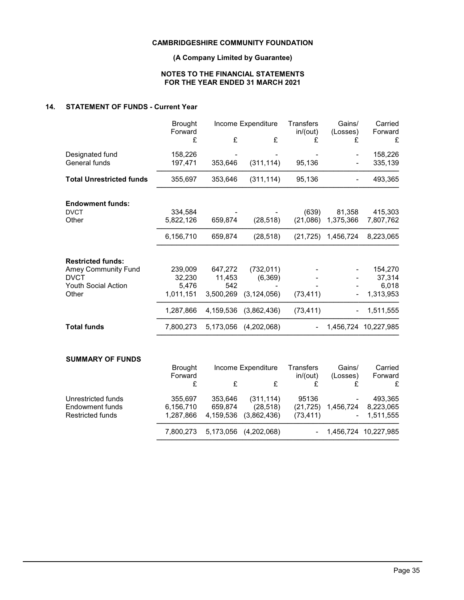### **(A Company Limited by Guarantee)**

### **NOTES TO THE FINANCIAL STATEMENTS FOR THE YEAR ENDED 31 MARCH 2021**

### **14. STATEMENT OF FUNDS - Current Year**

|                                 | <b>Brought</b><br>Forward |           | Income Expenditure | Transfers     | Gains/<br>(Losses) | Carried      |
|---------------------------------|---------------------------|-----------|--------------------|---------------|--------------------|--------------|
|                                 | £                         | £         | £                  | in/(out)<br>£ | £                  | Forward<br>£ |
| Designated fund                 | 158,226                   |           |                    |               |                    | 158,226      |
| General funds                   | 197,471                   | 353.646   | (311, 114)         | 95,136        |                    | 335,139      |
| <b>Total Unrestricted funds</b> | 355,697                   | 353,646   | (311, 114)         | 95,136        |                    | 493,365      |
| <b>Endowment funds:</b>         |                           |           |                    |               |                    |              |
| <b>DVCT</b>                     | 334,584                   |           |                    | (639)         | 81,358             | 415,303      |
| Other                           | 5,822,126                 | 659,874   | (28, 518)          | (21,086)      | 1,375,366          | 7,807,762    |
|                                 | 6,156,710                 | 659,874   | (28, 518)          | (21, 725)     | 1,456,724          | 8,223,065    |
| <b>Restricted funds:</b>        |                           |           |                    |               |                    |              |
| Amey Community Fund             | 239,009                   | 647,272   | (732, 011)         |               |                    | 154,270      |
| <b>DVCT</b>                     | 32,230                    | 11,453    | (6, 369)           |               |                    | 37,314       |
| <b>Youth Social Action</b>      | 5,476                     | 542       |                    |               |                    | 6,018        |
| Other                           | 1,011,151                 | 3,500,269 | (3, 124, 056)      | (73, 411)     |                    | 1,313,953    |
|                                 | 1,287,866                 | 4,159,536 | (3,862,436)        | (73, 411)     |                    | 1,511,555    |
| <b>Total funds</b>              | 7,800,273                 | 5,173,056 | (4,202,068)        |               | 1,456,724          | 10,227,985   |
| <b>SUMMARY OF FUNDS</b>         |                           |           |                    |               |                    |              |
|                                 | <b>Brought</b>            |           | Income Expenditure | Transfers     | Gains/             | Carried      |
|                                 | Forward                   |           |                    | in/(out)      | (Losses)           | Forward      |
|                                 | £                         | £         | £                  | £             | £                  | £            |

|                                                           |                                   |                    |                                                  |                                 |           | £                                    |
|-----------------------------------------------------------|-----------------------------------|--------------------|--------------------------------------------------|---------------------------------|-----------|--------------------------------------|
| Unrestricted funds<br>Endowment funds<br>Restricted funds | 355.697<br>6,156,710<br>1,287,866 | 353.646<br>659,874 | (311, 114)<br>(28, 518)<br>4,159,536 (3,862,436) | 95136<br>(21, 725)<br>(73, 411) | 1,456,724 | 493.365<br>8,223,065<br>$-1,511,555$ |
|                                                           |                                   |                    | 7,800,273 5,173,056 (4,202,068)                  |                                 |           | $-1,456,724$ 10,227,985              |
|                                                           |                                   |                    |                                                  |                                 |           |                                      |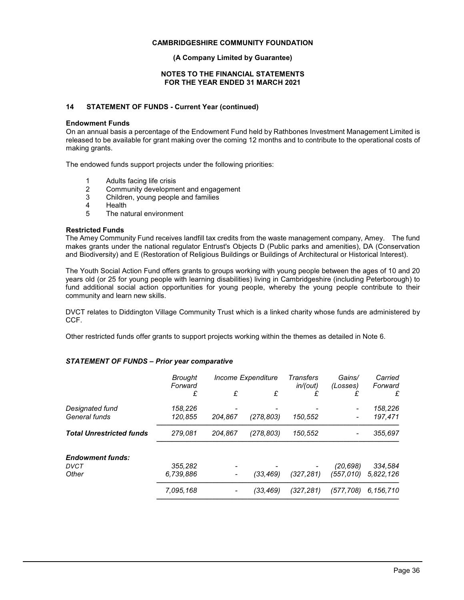### **(A Company Limited by Guarantee)**

### **NOTES TO THE FINANCIAL STATEMENTS FOR THE YEAR ENDED 31 MARCH 2021**

### **14 STATEMENT OF FUNDS - Current Year (continued)**

#### **Endowment Funds**

On an annual basis a percentage of the Endowment Fund held by Rathbones Investment Management Limited is released to be available for grant making over the coming 12 months and to contribute to the operational costs of making grants.

The endowed funds support projects under the following priorities:

- 1 Adults facing life crisis<br>2 Community developme
- 2 Community development and engagement<br>3 Children, young people and families
- Children, young people and families
- 4 Health<br>5 The na
- The natural environment

### **Restricted Funds**

The Amey Community Fund receives landfill tax credits from the waste management company, Amey. The fund makes grants under the national regulator Entrust's Objects D (Public parks and amenities), DA (Conservation and Biodiversity) and E (Restoration of Religious Buildings or Buildings of Architectural or Historical Interest).

The Youth Social Action Fund offers grants to groups working with young people between the ages of 10 and 20 years old (or 25 for young people with learning disabilities) living in Cambridgeshire (including Peterborough) to fund additional social action opportunities for young people, whereby the young people contribute to their community and learn new skills.

DVCT relates to Diddington Village Community Trust which is a linked charity whose funds are administered by CCF.

Other restricted funds offer grants to support projects working within the themes as detailed in Note 6.

### *STATEMENT OF FUNDS – Prior year comparative*

|                                 | <b>Brought</b><br>Forward |         | Income Expenditure | <b>Transfers</b><br>$in/$ (out) | Gains/<br>(Losses)           | Carried<br>Forward |
|---------------------------------|---------------------------|---------|--------------------|---------------------------------|------------------------------|--------------------|
|                                 | £                         | £       | £                  | £                               | £                            | £                  |
| Designated fund                 | 158,226                   |         |                    |                                 | $\qquad \qquad \blacksquare$ | 158,226            |
| General funds                   | 120.855                   | 204.867 | (278, 803)         | 150.552                         | $\overline{\phantom{m}}$     | 197,471            |
| <b>Total Unrestricted funds</b> | 279.081                   | 204,867 | (278, 803)         | 150.552                         |                              | 355,697            |
| <b>Endowment funds:</b>         |                           |         |                    |                                 |                              |                    |
| <b>DVCT</b>                     | 355,282                   |         |                    |                                 | (20, 698)                    | 334,584            |
| Other                           | 6,739,886                 |         | (33, 469)          | (327, 281)                      | (557,010)                    | 5,822,126          |
|                                 | 7,095,168                 |         | (33,469)           | (327,281)                       | (577, 708)                   | 6.156.710          |
|                                 |                           |         |                    |                                 |                              |                    |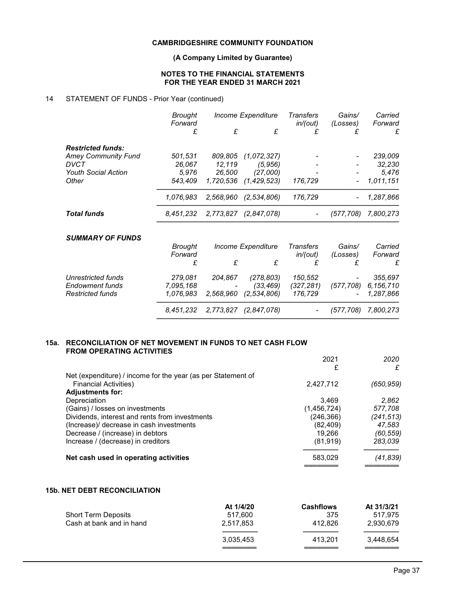### **(A Company Limited by Guarantee)**

### **NOTES TO THE FINANCIAL STATEMENTS FOR THE YEAR ENDED 31 MARCH 2021**

### 14 STATEMENT OF FUNDS - Prior Year (continued)

|                            | <b>Brought</b><br>Forward | Income Expenditure |                    | <b>Transfers</b><br>in/(out) | Gains/<br>(Losses) | Carried<br>Forward |
|----------------------------|---------------------------|--------------------|--------------------|------------------------------|--------------------|--------------------|
|                            | £                         | £                  | £                  | £                            | £                  | £                  |
| <b>Restricted funds:</b>   |                           |                    |                    |                              |                    |                    |
| <b>Amey Community Fund</b> | 501,531                   | 809,805            | (1,072,327)        |                              |                    | 239,009            |
| <b>DVCT</b>                | 26,067                    | 12,119             | (5,956)            |                              |                    | 32,230             |
| <b>Youth Social Action</b> | 5,976                     | 26,500             | (27,000)           |                              |                    | 5,476              |
| Other                      | 543,409                   | 1,720,536          | (1, 429, 523)      | 176,729                      |                    | 1,011,151          |
|                            | 1,076,983                 | 2,568,960          | (2,534,806)        | 176,729                      |                    | 1,287,866          |
| <b>Total funds</b>         | 8,451,232                 | 2,773,827          | (2,847,078)        |                              | (577,708)          | 7,800,273          |
| <b>SUMMARY OF FUNDS</b>    |                           |                    |                    |                              |                    |                    |
|                            | <b>Brought</b>            |                    | Income Expenditure | <b>Transfers</b>             | Gains/             | Carried            |
|                            | Forward                   |                    |                    | in/(out)                     | (Losses)           | Forward            |
|                            | £                         | £                  | £                  | £                            | £                  | £                  |
| Unrestricted funds         | 279,081                   | 204,867            | (278, 803)         | 150,552                      |                    | 355,697            |
| <b>Endowment funds</b>     | 7,095,168                 |                    | (33, 469)          | (327, 281)                   | (577, 708)         | 6,156,710          |
| <b>Restricted funds</b>    | 1,076,983                 | 2,568,960          | (2,534,806)        | 176,729                      |                    | 1,287,866          |
|                            | 8,451,232                 | 2,773,827          | (2,847,078)        |                              | (577, 708)         | 7,800,273          |

### **15a. RECONCILIATION OF NET MOVEMENT IN FUNDS TO NET CASH FLOW FROM OPERATING ACTIVITIES**

|                                                              | 2021        | 2020       |
|--------------------------------------------------------------|-------------|------------|
|                                                              | £           | £          |
| Net (expenditure) / income for the year (as per Statement of |             |            |
| <b>Financial Activities)</b>                                 | 2,427,712   | (650, 959) |
| <b>Adjustments for:</b>                                      |             |            |
| Depreciation                                                 | 3.469       | 2,862      |
| (Gains) / losses on investments                              | (1,456,724) | 577,708    |
| Dividends, interest and rents from investments               | (246, 366)  | (241, 513) |
| (Increase)/ decrease in cash investments                     | (82, 409)   | 47,583     |
| Decrease / (increase) in debtors                             | 19.266      | (60, 559)  |
| Increase / (decrease) in creditors                           | (81,919)    | 283,039    |
| Net cash used in operating activities                        | 583,029     | (41,839)   |
|                                                              |             |            |

ņņņņņņņņņņņņņņņņņņņņņņņņņņņņņņņņņņņņņņņņņņņņņņņņ

### **15b. NET DEBT RECONCILIATION**

| <b>Short Term Deposits</b> | At 1/4/20<br>517.600 | <b>Cashflows</b><br>375 | At 31/3/21<br>517.975 |
|----------------------------|----------------------|-------------------------|-----------------------|
| Cash at bank and in hand   | 2,517,853            | 412.826                 | 2,930,679             |
|                            |                      |                         |                       |
|                            | 3.035.453            | 413.201                 | 3,448,654             |
|                            |                      |                         |                       |